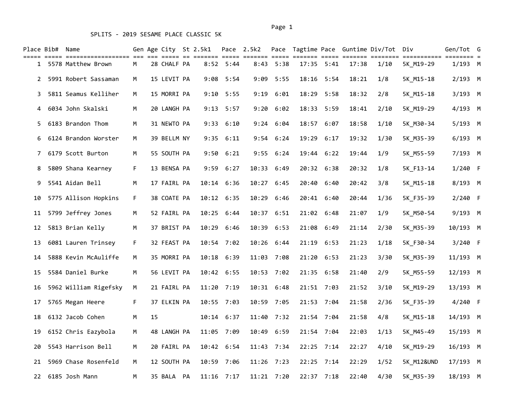|                | Place Bib# Name | ===== =================== === |    |    | Gen Age City St 2.5k1 |                |               | Pace 2.5k2 |               |       |                |       | Pace Tagtime Pace Guntime Div/Tot Div |            | Gen/Tot G | $== = =$ |
|----------------|-----------------|-------------------------------|----|----|-----------------------|----------------|---------------|------------|---------------|-------|----------------|-------|---------------------------------------|------------|-----------|----------|
|                |                 | 1 5578 Matthew Brown          | M  |    | 28 CHALF PA           |                | $8:52$ 5:44   |            | $8:43$ 5:38   |       | $17:35$ $5:41$ | 17:38 | 1/10                                  | 5K_M19-29  | 1/193 M   |          |
| $\mathbf{2}$   |                 | 5991 Robert Sassaman          | М  |    | 15 LEVIT PA           |                | 9:08 5:54     |            | 9:09 5:55     |       | 18:16 5:54     | 18:21 | 1/8                                   | 5K_M15-18  | $2/193$ M |          |
| 3              |                 | 5811 Seamus Kelliher          | M  |    | 15 MORRI PA           |                | $9:10$ 5:55   |            | $9:19$ $6:01$ |       | 18:29 5:58     | 18:32 | 2/8                                   | 5K_M15-18  | $3/193$ M |          |
| 4              |                 | 6034 John Skalski             | М  |    | 20 LANGH PA           |                | $9:13$ 5:57   | 9:20       | 6:02          |       | 18:33 5:59     | 18:41 | 2/10                                  | 5K_M19-29  | 4/193 M   |          |
| 5.             |                 | 6183 Brandon Thom             | М  |    | 31 NEWTO PA           |                | $9:33$ $6:10$ |            | 9:24 6:04     |       | 18:57 6:07     | 18:58 | 1/10                                  | 5K M30-34  | 5/193 M   |          |
| 6              |                 | 6124 Brandon Worster          | M  |    | 39 BELLM NY           |                | $9:35$ $6:11$ |            | $9:54$ 6:24   | 19:29 | 6:17           | 19:32 | 1/30                                  | 5K_M35-39  | $6/193$ M |          |
| 7 <sup>7</sup> |                 | 6179 Scott Burton             | М  |    | 55 SOUTH PA           |                | 9:50 6:21     |            | 9:55 6:24     | 19:44 | 6:22           | 19:44 | 1/9                                   | 5K M55-59  | 7/193 M   |          |
| 8              |                 | 5809 Shana Kearney            | F. |    | 13 BENSA PA           |                | $9:59$ $6:27$ |            | 10:33 6:49    |       | 20:32 6:38     | 20:32 | 1/8                                   | 5K F13-14  | $1/240$ F |          |
| 9              |                 | 5541 Aidan Bell               | М  |    | 17 FAIRL PA           | $10:14$ $6:36$ |               | 10:27 6:45 |               | 20:40 | 6:40           | 20:42 | 3/8                                   | 5K_M15-18  | 8/193 M   |          |
| 10             |                 | 5775 Allison Hopkins          | F. |    | 38 COATE PA           | 10:12 6:35     |               | 10:29      | 6:46          | 20:41 | 6:40           | 20:44 | 1/36                                  | 5K_F35-39  | 2/240 F   |          |
| 11             |                 | 5799 Jeffrey Jones            | M  |    | 52 FAIRL PA           | 10:25 6:44     |               | 10:37 6:51 |               |       | 21:02 6:48     | 21:07 | 1/9                                   | 5K M50-54  | 9/193 M   |          |
| 12             |                 | 5813 Brian Kelly              | М  |    | 37 BRIST PA           | 10:29 6:46     |               | 10:39 6:53 |               | 21:08 | 6:49           | 21:14 | 2/30                                  | 5K_M35-39  | 10/193 M  |          |
| 13             |                 | 6081 Lauren Trinsey           | F  |    | 32 FEAST PA           | 10:54 7:02     |               |            | 10:26 6:44    | 21:19 | 6:53           | 21:23 | 1/18                                  | 5K_F30-34  | 3/240 F   |          |
| 14             |                 | 5888 Kevin McAuliffe          | M  |    | 35 MORRI PA           | 10:18 6:39     |               |            | 11:03 7:08    |       | 21:20 6:53     | 21:23 | 3/30                                  | 5K_M35-39  | 11/193 M  |          |
| 15             |                 | 5584 Daniel Burke             | М  |    | 56 LEVIT PA           | 10:42 6:55     |               | 10:53 7:02 |               |       | 21:35 6:58     | 21:40 | 2/9                                   | 5K M55-59  | 12/193 M  |          |
| 16             |                 | 5962 William Rigefsky         | М  |    | 21 FAIRL PA           | 11:20          | 7:19          | 10:31 6:48 |               |       | 21:51 7:03     | 21:52 | 3/10                                  | 5K M19-29  | 13/193 M  |          |
| 17             |                 | 5765 Megan Heere              | F. |    | 37 ELKIN PA           | 10:55 7:03     |               |            | 10:59 7:05    |       | 21:53 7:04     | 21:58 | 2/36                                  | 5K F35-39  | $4/240$ F |          |
| 18             |                 | 6132 Jacob Cohen              | М  | 15 |                       | $10:14$ $6:37$ |               | 11:40      | 7:32          |       | 21:54 7:04     | 21:58 | 4/8                                   | 5K M15-18  | 14/193 M  |          |
| 19             |                 | 6152 Chris Eazybola           | М  |    | 48 LANGH PA           | 11:05 7:09     |               | 10:49      | 6:59          |       | 21:54 7:04     | 22:03 | 1/13                                  | 5K M45-49  | 15/193 M  |          |
| 20             |                 | 5543 Harrison Bell            | M  |    | 20 FAIRL PA           | 10:42 6:54     |               |            | $11:43$ 7:34  |       | 22:25 7:14     | 22:27 | 4/10                                  | 5K_M19-29  | 16/193 M  |          |
| 21             |                 | 5969 Chase Rosenfeld          | м  |    | 12 SOUTH PA           | 10:59 7:06     |               | 11:26 7:23 |               |       | 22:25 7:14     | 22:29 | 1/52                                  | 5K_M12&UND | 17/193 M  |          |
|                |                 | 22 6185 Josh Mann             | М  |    | 35 BALA PA            | $11:16$ 7:17   |               |            | 11:21 7:20    |       | 22:37 7:18     | 22:40 | 4/30                                  | 5K M35-39  | 18/193 M  |          |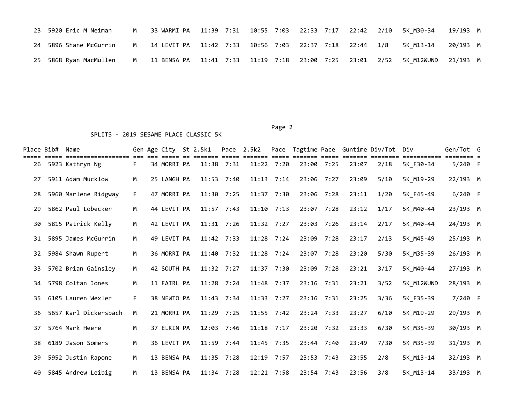| 23 5920 Eric M Neiman                                                                                | M 33 WARMI PA 11:39 7:31 10:55 7:03 22:33 7:17 22:42 2/10 5K M30-34 19/193 M |  |  |  |  |  |  |
|------------------------------------------------------------------------------------------------------|------------------------------------------------------------------------------|--|--|--|--|--|--|
| 24 5896 Shane McGurrin M 14 LEVIT PA 11:42 7:33 10:56 7:03 22:37 7:18 22:44 1/8 5K M13-14 20/193 M   |                                                                              |  |  |  |  |  |  |
| 25 5868 Ryan MacMullen M 11 BENSA PA 11:41 7:33 11:19 7:18 23:00 7:25 23:01 2/52 5K M12&UND 21/193 M |                                                                              |  |  |  |  |  |  |

| Place Bib# | Name                  |    | Gen Age City St 2.5k1 |              |              | Pace 2.5k2 | Pace         |              |            |       | Tagtime Pace Guntime Div/Tot Div |                       | Gen/Tot G |  |
|------------|-----------------------|----|-----------------------|--------------|--------------|------------|--------------|--------------|------------|-------|----------------------------------|-----------------------|-----------|--|
| 26         | 5923 Kathryn Ng       | F. | 34 MORRI PA           |              | 11:38 7:31   |            | 11:22 7:20   | 23:00 7:25   |            | 23:07 | 2/18                             | 5K F30-34             | $5/240$ F |  |
| 27         | 5911 Adam Mucklow     | м  | 25 LANGH PA           | 11:53        | 7:40         | 11:13      | 7:14         | 23:06 7:27   |            | 23:09 | 5/10                             | 5K M19-29             | 22/193 M  |  |
| 28         | 5960 Marlene Ridgway  | F. | 47 MORRI PA           | 11:30 7:25   |              |            | 11:37 7:30   | 23:06 7:28   |            | 23:11 | 1/20                             | 5K F45-49             | $6/240$ F |  |
| 29         | 5862 Paul Lobecker    | M  | 44 LEVIT PA           |              | 11:57 7:43   | 11:10      | 7:13         | 23:07        | 7:28       | 23:12 | 1/17                             | 5K M40-44             | 23/193 M  |  |
| 30         | 5815 Patrick Kelly    | M  | 42 LEVIT PA           |              | 11:31 7:26   |            | 11:32 7:27   | 23:03 7:26   |            | 23:14 | 2/17                             | 5K M40-44             | 24/193 M  |  |
| 31         | 5895 James McGurrin   | м  | 49 LEVIT PA           | $11:42$ 7:33 |              |            | $11:28$ 7:24 | 23:09 7:28   |            | 23:17 | 2/13                             | 5K M45-49             | 25/193 M  |  |
| 32         | 5984 Shawn Rupert     | M  | 36 MORRI PA           |              | 11:40 7:32   |            | 11:28 7:24   | 23:07 7:28   |            | 23:20 | 5/30                             | 5K M35-39             | 26/193 M  |  |
| 33         | 5702 Brian Gainsley   | M  | 42 SOUTH PA           | 11:32 7:27   |              | 11:37      | 7:30         | 23:09 7:28   |            | 23:21 | 3/17                             | 5K M40-44             | 27/193 M  |  |
| 34         | 5798 Coltan Jones     | M  | 11 FAIRL PA           |              | $11:28$ 7:24 | 11:48      | 7:37         | 23:16 7:31   |            | 23:21 | 3/52                             | <b>5K M12&amp;UND</b> | 28/193 M  |  |
| 35         | 6105 Lauren Wexler    | F. | 38 NEWTO PA           |              | 11:43 7:34   |            | $11:33$ 7:27 | 23:16 7:31   |            | 23:25 | 3/36                             | 5K F35-39             | 7/240 F   |  |
| 36         | 5657 Karl Dickersbach | м  | 21 MORRI PA           |              | $11:29$ 7:25 |            | 11:55 7:42   | 23:24 7:33   |            | 23:27 | 6/10                             | 5K M19-29             | 29/193 M  |  |
| 37         | 5764 Mark Heere       | M  | 37 ELKIN PA           |              | 12:03 7:46   |            | $11:18$ 7:17 |              | 23:20 7:32 | 23:33 | 6/30                             | 5K M35-39             | 30/193 M  |  |
| 38         | 6189 Jason Somers     | M  | 36 LEVIT PA           | 11:59 7:44   |              |            | 11:45 7:35   | 23:44 7:40   |            | 23:49 | 7/30                             | 5K M35-39             | 31/193 M  |  |
| 39         | 5952 Justin Rapone    | M  | 13 BENSA PA           | 11:35        | 7:28         | 12:19      | 7:57         | 23:53 7:43   |            | 23:55 | 2/8                              | 5K M13-14             | 32/193 M  |  |
| 40         | 5845 Andrew Leibig    | M  | 13 BENSA PA           |              | 11:34 7:28   |            | 12:21 7:58   | $23:54$ 7:43 |            | 23:56 | 3/8                              | 5K M13-14             | 33/193 M  |  |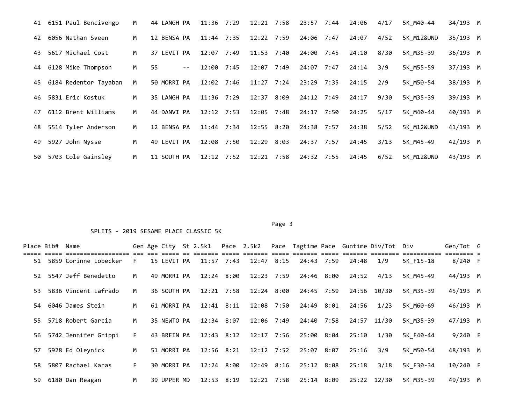|    | 41 6151 Paul Bencivengo | M | 44 LANGH PA | $11:36$ 7:29 |      | 12:21 7:58     | 23:57 7:44 | 24:06 | 4/17 | 5K M40-44  | 34/193 M |  |
|----|-------------------------|---|-------------|--------------|------|----------------|------------|-------|------|------------|----------|--|
| 42 | 6056 Nathan Sveen       | M | 12 BENSA PA | $11:44$ 7:35 |      | 12:22 7:59     | 24:06 7:47 | 24:07 | 4/52 | 5K M12&UND | 35/193 M |  |
| 43 | 5617 Michael Cost       | M | 37 LEVIT PA | 12:07 7:49   |      | 11:53 7:40     | 24:00 7:45 | 24:10 | 8/30 | 5K M35-39  | 36/193 M |  |
| 44 | 6128 Mike Thompson      | M | 55<br>$- -$ | 12:00 7:45   |      | $12:07$ 7:49   | 24:07 7:47 | 24:14 | 3/9  | 5K M55-59  | 37/193 M |  |
| 45 | 6184 Redentor Tayaban   | M | 50 MORRI PA | 12:02 7:46   |      | $11:27$ $7:24$ | 23:29 7:35 | 24:15 | 2/9  | 5K M50-54  | 38/193 M |  |
| 46 | 5831 Eric Kostuk        | M | 35 LANGH PA | $11:36$ 7:29 |      | $12:37$ 8:09   | 24:12 7:49 | 24:17 | 9/30 | 5K M35-39  | 39/193 M |  |
| 47 | 6112 Brent Williams     | M | 44 DANVI PA | $12:12$ 7:53 |      | $12:05$ 7:48   | 24:17 7:50 | 24:25 | 5/17 | 5K M40-44  | 40/193 M |  |
| 48 | 5514 Tyler Anderson     | M | 12 BENSA PA | $11:44$ 7:34 |      | 12:55 8:20     | 24:38 7:57 | 24:38 | 5/52 | 5K M12&UND | 41/193 M |  |
| 49 | 5927 John Nysse         | M | 49 LEVIT PA | 12:08        | 7:50 | $12:29$ $8:03$ | 24:37 7:57 | 24:45 | 3/13 | 5K M45-49  | 42/193 M |  |
| 50 | 5703 Cole Gainsley      | M | 11 SOUTH PA | $12:12$ 7:52 |      | $12:21$ 7:58   | 24:32 7:55 | 24:45 | 6/52 | 5K M12&UND | 43/193 M |  |

### Page 3 and 2012 and 2012 and 2012 and 2012 and 2012 and 2012 and 2012 and 2012 and 2012 and 2012 and 2012 and

| Place Bib# | Name                     |    |             | Gen Age City St 2.5k1 Pace 2.5k2 |              |            |            |                        | Pace Tagtime Pace Guntime Div/Tot Div |           | Gen/Tot G |  |
|------------|--------------------------|----|-------------|----------------------------------|--------------|------------|------------|------------------------|---------------------------------------|-----------|-----------|--|
|            | 51 5859 Corinne Lobecker | F. | 15 LEVIT PA | $11:57$ 7:43                     | $12:47$ 8:15 |            | 24:43 7:59 | 24:48                  | 1/9                                   | 5K F15-18 | $8/240$ F |  |
|            | 52 5547 Jeff Benedetto   | M  | 49 MORRI PA | 12:24 8:00                       | 12:23 7:59   |            | 24:46 8:00 | 24:52                  | 4/13                                  | 5K M45-49 | 44/193 M  |  |
| 53         | 5836 Vincent Lafrado     | м  | 36 SOUTH PA | $12:21$ 7:58                     | 12:24 8:00   |            | 24:45 7:59 |                        | 24:56 10/30                           | 5K M35-39 | 45/193 M  |  |
|            | 54 6046 James Stein      | M  | 61 MORRI PA | $12:41$ $8:11$                   |              | 12:08 7:50 | 24:49 8:01 | 24:56                  | 1/23                                  | 5K M60-69 | 46/193 M  |  |
| 55.        | 5718 Robert Garcia       | M  | 35 NEWTO PA | 12:34 8:07                       |              | 12:06 7:49 | 24:40 7:58 |                        | 24:57 11/30                           | 5K M35-39 | 47/193 M  |  |
|            | 56 5742 Jennifer Grippi  | F. | 43 BREIN PA | 12:43 8:12                       | 12:17 7:56   |            | 25:00 8:04 | 25:10                  | 1/30                                  | 5K F40-44 | $9/240$ F |  |
| 57         | 5928 Ed Oleynick         | M  | 51 MORRI PA | $12:56$ $8:21$                   | 12:12 7:52   |            | 25:07 8:07 | 25:16                  | 3/9                                   | 5K M50-54 | 48/193 M  |  |
| 58.        | 5807 Rachael Karas       | F. | 30 MORRI PA | 12:24 8:00                       |              | 12:49 8:16 | 25:12 8:08 | 25:18                  | 3/18                                  | 5K F30-34 | 10/240 F  |  |
| 59         | 6180 Dan Reagan          | M  | 39 UPPER MD | $12:53$ $8:19$                   | 12:21 7:58   |            |            | 25:14 8:09 25:22 12/30 |                                       | 5K M35-39 | 49/193 M  |  |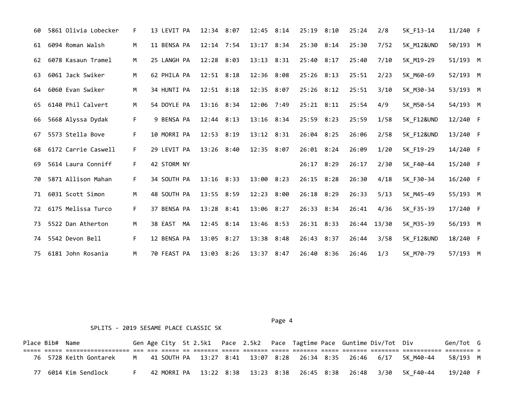| 60 | 5861 Olivia Lobecker | F. | 13 LEVIT PA | 12:34 8:07     | 12:45 8:14 |      | 25:19 8:10 | 25:24       | 2/8  | 5K F13-14             | 11/240 F |  |
|----|----------------------|----|-------------|----------------|------------|------|------------|-------------|------|-----------------------|----------|--|
| 61 | 6094 Roman Walsh     | M  | 11 BENSA PA | $12:14$ 7:54   | 13:17      | 8:34 | 25:30 8:14 | 25:30       | 7/52 | <b>5K M12&amp;UND</b> | 50/193 M |  |
| 62 | 6078 Kasaun Tramel   | M  | 25 LANGH PA | 12:28 8:03     | 13:13 8:31 |      | 25:40 8:17 | 25:40       | 7/10 | 5K M19-29             | 51/193 M |  |
| 63 | 6061 Jack Swiker     | м  | 62 PHILA PA | $12:51$ $8:18$ | 12:36 8:08 |      | 25:26 8:13 | 25:51       | 2/23 | 5K M60-69             | 52/193 M |  |
| 64 | 6060 Evan Swiker     | M  | 34 HUNTI PA | $12:51$ $8:18$ | 12:35 8:07 |      | 25:26 8:12 | 25:51       | 3/10 | 5K M30-34             | 53/193 M |  |
| 65 | 6140 Phil Calvert    | M  | 54 DOYLE PA | 13:16 8:34     | 12:06 7:49 |      | 25:21 8:11 | 25:54       | 4/9  | 5K M50-54             | 54/193 M |  |
| 66 | 5668 Alyssa Dydak    | F. | 9 BENSA PA  | 12:44 8:13     | 13:16 8:34 |      | 25:59 8:23 | 25:59       | 1/58 | <b>5K F12&amp;UND</b> | 12/240 F |  |
| 67 | 5573 Stella Bove     | F. | 10 MORRI PA | 12:53 8:19     | 13:12 8:31 |      | 26:04 8:25 | 26:06       | 2/58 | <b>5K F12&amp;UND</b> | 13/240 F |  |
| 68 | 6172 Carrie Caswell  | F. | 29 LEVIT PA | 13:26 8:40     | 12:35 8:07 |      | 26:01 8:24 | 26:09       | 1/20 | 5K F19-29             | 14/240 F |  |
| 69 | 5614 Laura Conniff   | F. | 42 STORM NY |                |            |      | 26:17 8:29 | 26:17       | 2/30 | 5K F40-44             | 15/240 F |  |
| 70 | 5871 Allison Mahan   | F. | 34 SOUTH PA | 13:16 8:33     | 13:00 8:23 |      | 26:15 8:28 | 26:30       | 4/18 | 5K F30-34             | 16/240 F |  |
| 71 | 6031 Scott Simon     | M  | 48 SOUTH PA | 13:55 8:59     | 12:23 8:00 |      | 26:18 8:29 | 26:33       | 5/13 | 5K M45-49             | 55/193 M |  |
| 72 | 6175 Melissa Turco   | F. | 37 BENSA PA | 13:28 8:41     | 13:06 8:27 |      | 26:33 8:34 | 26:41       | 4/36 | 5K F35-39             | 17/240 F |  |
| 73 | 5522 Dan Atherton    | M  | 38 EAST MA  | 12:45 8:14     | 13:46 8:53 |      | 26:31 8:33 | 26:44 13/30 |      | 5K M35-39             | 56/193 M |  |
| 74 | 5542 Devon Bell      | F. | 12 BENSA PA | 13:05 8:27     | 13:38 8:48 |      | 26:43 8:37 | 26:44       | 3/58 | <b>5K F12&amp;UND</b> | 18/240 F |  |
| 75 | 6181 John Rosania    | M  | 70 FEAST PA | 13:03 8:26     | 13:37 8:47 |      | 26:40 8:36 | 26:46       | 1/3  | 5K M70-79             | 57/193 M |  |

Page 4 and the state of the state of the state of the state of the state of the state of the state of the state of the state of the state of the state of the state of the state of the state of the state of the state of the

### SPLITS - 2019 SESAME PLACE CLASSIC 5K

Place Bib# Name Gen Age City St 2.5k1 Pace 2.5k2 Pace Tagtime Pace Guntime Div/Tot Div Gen/Tot G ===== ===== ================== === === ===== == ======= ===== ======= ===== ======= ===== ======= ======== =========== ======== = 76 5728 Keith Gontarek M 41 SOUTH PA 13:27 8:41 13:07 8:28 26:34 8:35 26:46 6/17 5K\_M40-44 58/193 M 77 6014 Kim Sendlock F 42 MORRI PA 13:22 8:38 13:23 8:38 26:45 8:38 26:48 3/30 5K\_F40-44 19/240 F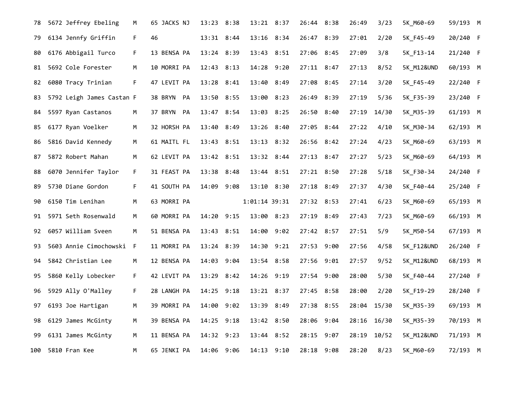| 78  | 5672 Jeffrey Ebeling      | M  | 65 JACKS NJ | 13:23 8:38     |      | 13:21 8:37     |      | 26:44 8:38   |      | 26:49 | 3/23  | 5K_M60-69             | 59/193 M |  |
|-----|---------------------------|----|-------------|----------------|------|----------------|------|--------------|------|-------|-------|-----------------------|----------|--|
| 79  | 6134 Jennfy Griffin       | F. | 46          | 13:31 8:44     |      | 13:16 8:34     |      | 26:47 8:39   |      | 27:01 | 2/20  | 5K_F45-49             | 20/240 F |  |
| 80  | 6176 Abbigail Turco       | F. | 13 BENSA PA | 13:24 8:39     |      | 13:43 8:51     |      | 27:06 8:45   |      | 27:09 | 3/8   | 5K F13-14             | 21/240 F |  |
| 81  | 5692 Cole Forester        | M  | 10 MORRI PA | 12:43 8:13     |      | 14:28 9:20     |      | $27:11$ 8:47 |      | 27:13 | 8/52  | 5K M12&UND            | 60/193 M |  |
| 82  | 6080 Tracy Trinian        | F. | 47 LEVIT PA | $13:28$ $8:41$ |      | 13:40 8:49     |      | 27:08 8:45   |      | 27:14 | 3/20  | 5K_F45-49             | 22/240 F |  |
| 83  | 5792 Leigh James Castan F |    | 38 BRYN PA  | 13:50 8:55     |      | 13:00 8:23     |      | 26:49 8:39   |      | 27:19 | 5/36  | 5K_F35-39             | 23/240 F |  |
| 84  | 5597 Ryan Castanos        | M  | 37 BRYN PA  | 13:47 8:54     |      | 13:03 8:25     |      | 26:50 8:40   |      | 27:19 | 14/30 | 5K_M35-39             | 61/193 M |  |
| 85  | 6177 Ryan Voelker         | M  | 32 HORSH PA | 13:40 8:49     |      | 13:26 8:40     |      | 27:05 8:44   |      | 27:22 | 4/10  | 5K_M30-34             | 62/193 M |  |
| 86  | 5816 David Kennedy        | М  | 61 MAITL FL | 13:43 8:51     |      | $13:13$ $8:32$ |      | 26:56 8:42   |      | 27:24 | 4/23  | 5K_M60-69             | 63/193 M |  |
| 87  | 5872 Robert Mahan         | м  | 62 LEVIT PA | 13:42 8:51     |      | 13:32 8:44     |      | $27:13$ 8:47 |      | 27:27 | 5/23  | 5K_M60-69             | 64/193 M |  |
| 88  | 6070 Jennifer Taylor      | F. | 31 FEAST PA | 13:38 8:48     |      | 13:44 8:51     |      | 27:21 8:50   |      | 27:28 | 5/18  | 5K_F30-34             | 24/240 F |  |
| 89  | 5730 Diane Gordon         | F. | 41 SOUTH PA | 14:09 9:08     |      | 13:10 8:30     |      | 27:18 8:49   |      | 27:37 | 4/30  | 5K F40-44             | 25/240 F |  |
| 90  | 6150 Tim Lenihan          | М  | 63 MORRI PA |                |      | 1:01:14 39:31  |      | 27:32 8:53   |      | 27:41 | 6/23  | 5K M60-69             | 65/193 M |  |
| 91  | 5971 Seth Rosenwald       | м  | 60 MORRI PA | 14:20 9:15     |      | 13:00          | 8:23 | 27:19 8:49   |      | 27:43 | 7/23  | 5K M60-69             | 66/193 M |  |
| 92  | 6057 William Sveen        | М  | 51 BENSA PA | 13:43 8:51     |      | 14:00 9:02     |      | 27:42 8:57   |      | 27:51 | 5/9   | 5K M50-54             | 67/193 M |  |
| 93  | 5603 Annie Cimochowski F  |    | 11 MORRI PA | 13:24 8:39     |      | 14:30 9:21     |      | 27:53 9:00   |      | 27:56 | 4/58  | <b>5K F12&amp;UND</b> | 26/240 F |  |
| 94  | 5842 Christian Lee        | М  | 12 BENSA PA | 14:03 9:04     |      | 13:54 8:58     |      | 27:56 9:01   |      | 27:57 | 9/52  | <b>5K M12&amp;UND</b> | 68/193 M |  |
| 95  | 5860 Kelly Lobecker       | F. | 42 LEVIT PA | 13:29 8:42     |      | 14:26 9:19     |      | 27:54 9:00   |      | 28:00 | 5/30  | 5K F40-44             | 27/240 F |  |
| 96  | 5929 Ally O'Malley        | F. | 28 LANGH PA | 14:25 9:18     |      | 13:21 8:37     |      | 27:45 8:58   |      | 28:00 | 2/20  | 5K F19-29             | 28/240 F |  |
| 97  | 6193 Joe Hartigan         | M  | 39 MORRI PA | 14:00          | 9:02 | 13:39          | 8:49 | 27:38 8:55   |      | 28:04 | 15/30 | 5K M35-39             | 69/193 M |  |
| 98  | 6129 James McGinty        | М  | 39 BENSA PA | 14:25 9:18     |      | 13:42 8:50     |      | 28:06 9:04   |      | 28:16 | 16/30 | 5K_M35-39             | 70/193 M |  |
| 99  | 6131 James McGinty        | M  | 11 BENSA PA | 14:32 9:23     |      | 13:44 8:52     |      | 28:15        | 9:07 | 28:19 | 10/52 | 5K_M12&UND            | 71/193 M |  |
| 100 | 5810 Fran Kee             | M  | 65 JENKI PA | 14:06 9:06     |      | $14:13$ $9:10$ |      | 28:18 9:08   |      | 28:20 | 8/23  | 5K M60-69             | 72/193 M |  |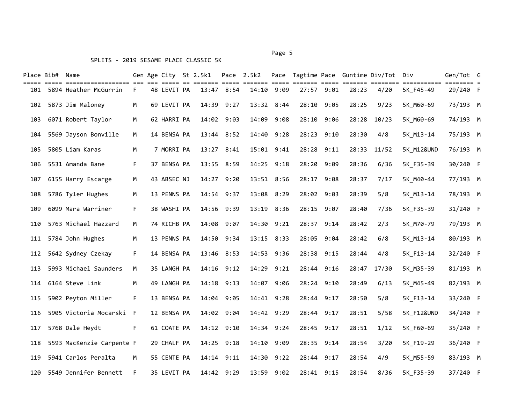# Place Bib# Name The Gen Age City St 2.5k1 Pace 2.5k2 Pace Tagtime Pace Guntime Div/Tot Div The Gen/Tot G ===== ===== ================== === === ===== == ======= ===== ======= ===== ======= ===== ======= ======== =========== ======== = 101 5894 Heather McGurrin F 48 LEVIT PA 13:47 8:54 14:10 9:09 27:57 9:01 28:23 4/20 5K\_F45-49 29/240 F 102 5873 Jim Maloney M 69 LEVIT PA 14:39 9:27 13:32 8:44 28:10 9:05 28:25 9/23 5K\_M60-69 73/193 M 103 6071 Robert Taylor M 62 HARRI PA 14:02 9:03 14:09 9:08 28:10 9:06 28:28 10/23 5K\_M60-69 74/193 M 104 5569 Jayson Bonville M 14 BENSA PA 13:44 8:52 14:40 9:28 28:23 9:10 28:30 4/8 5K\_M13-14 75/193 M 105 5805 Liam Karas M 7 MORRI PA 13:27 8:41 15:01 9:41 28:28 9:11 28:33 11/52 5K\_M12&UND 76/193 M 106 5531 Amanda Bane F 37 BENSA PA 13:55 8:59 14:25 9:18 28:20 9:09 28:36 6/36 5K\_F35-39 30/240 F 107 6155 Harry Escarge M 43 ABSEC NJ 14:27 9:20 13:51 8:56 28:17 9:08 28:37 7/17 5K\_M40-44 77/193 M 108 5786 Tyler Hughes M 13 PENNS PA 14:54 9:37 13:08 8:29 28:02 9:03 28:39 5/8 5K\_M13-14 78/193 M 109 6099 Mara Warriner F 38 WASHI PA 14:56 9:39 13:19 8:36 28:15 9:07 28:40 7/36 5K\_F35-39 31/240 F 110 5763 Michael Hazzard M 74 RICHB PA 14:08 9:07 14:30 9:21 28:37 9:14 28:42 2/3 5K\_M70-79 79/193 M 111 5784 John Hughes M 13 PENNS PA 14:50 9:34 13:15 8:33 28:05 9:04 28:42 6/8 5K\_M13-14 80/193 M 112 5642 Sydney Czekay F 14 BENSA PA 13:46 8:53 14:53 9:36 28:38 9:15 28:44 4/8 5K\_F13-14 32/240 F 113 5993 Michael Saunders M 35 LANGH PA 14:16 9:12 14:29 9:21 28:44 9:16 28:47 17/30 5K\_M35-39 81/193 M 114 6164 Steve Link M 49 LANGH PA 14:18 9:13 14:07 9:06 28:24 9:10 28:49 6/13 5K\_M45-49 82/193 M 115 5902 Peyton Miller F 13 BENSA PA 14:04 9:05 14:41 9:28 28:44 9:17 28:50 5/8 5K\_F13-14 33/240 F 116 5905 Victoria Mocarski F 12 BENSA PA 14:02 9:04 14:42 9:29 28:44 9:17 28:51 5/58 5K\_F12&UND 34/240 F 117 5768 Dale Heydt F 61 COATE PA 14:12 9:10 14:34 9:24 28:45 9:17 28:51 1/12 5K\_F60-69 35/240 F 118 5593 MacKenzie Carpente F 29 CHALF PA 14:25 9:18 14:10 9:09 28:35 9:14 28:54 3/20 5K\_F19-29 36/240 F 119 5941 Carlos Peralta M 55 CENTE PA 14:14 9:11 14:30 9:22 28:44 9:17 28:54 4/9 5K\_M55-59 83/193 M 120 5549 Jennifer Bennett F 35 LEVIT PA 14:42 9:29 13:59 9:02 28:41 9:15 28:54 8/36 5K\_F35-39 37/240 F

Page 5 and 2012 and 2012 and 2012 and 2012 and 2012 and 2012 and 2012 and 2012 and 2012 and 2012 and 2012 and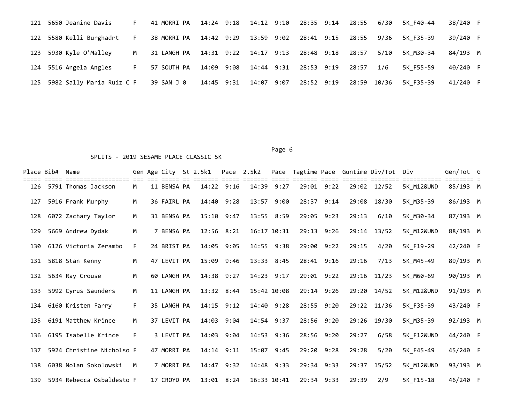| 121 | 5650 Jeanine Davis            | F. | 41 MORRI PA |            |            |                  | 14:24 9:18 14:12 9:10 28:35 9:14 28:55 | 6/30 | 5K F40-44 | 38/240 F |  |
|-----|-------------------------------|----|-------------|------------|------------|------------------|----------------------------------------|------|-----------|----------|--|
| 122 | 5580 Kelli Burghadrt          | F. | 38 MORRI PA | 14:42 9:29 | 13:59 9:02 | 28:41 9:15 28:55 |                                        | 9/36 | 5K F35-39 | 39/240 F |  |
| 123 | 5930 Kyle O'Malley            | M  |             |            |            | 28:48 9:18       | 28:57                                  | 5/10 | 5K M30-34 | 84/193 M |  |
|     | 124 5516 Angela Angles        | F. | 57 SOUTH PA | 14:09 9:08 | 14:44 9:31 | 28:53 9:19       | 28:57                                  | 1/6  | 5K F55-59 | 40/240 F |  |
|     | 125 5982 Sally Maria Ruiz C F |    | 39 SAN J 0  | 14:45 9:31 | 14:07 9:07 | 28:52 9:19       | 28:59 10/36                            |      | 5K F35-39 | 41/240 F |  |

### Page 6 and the contract of the contract of the contract of the contract of the contract of the contract of the

|     | Place Bib# Name |                           |    | Gen Age City St 2.5k1 |                | Pace 2.5k2  |      |            |       | Pace Tagtime Pace Guntime Div/Tot Div |                       | Gen/Tot G |  |
|-----|-----------------|---------------------------|----|-----------------------|----------------|-------------|------|------------|-------|---------------------------------------|-----------------------|-----------|--|
| 126 |                 | 5791 Thomas Jackson       | M  | 11 BENSA PA           | $14:22$ 9:16   | 14:39       | 9:27 | 29:01 9:22 |       | 29:02 12/52                           | 5K M12&UND            | 85/193 M  |  |
| 127 |                 | 5916 Frank Murphy         | M  | 36 FAIRL PA           | 14:40 9:28     | 13:57 9:00  |      | 28:37 9:14 | 29:08 | 18/30                                 | 5K M35-39             | 86/193 M  |  |
| 128 |                 | 6072 Zachary Taylor       | M  | 31 BENSA PA           | $15:10$ $9:47$ | 13:55 8:59  |      | 29:05 9:23 | 29:13 | 6/10                                  | 5K M30-34             | 87/193 M  |  |
| 129 |                 | 5669 Andrew Dydak         | м  | 7 BENSA PA            | 12:56 8:21     | 16:17 10:31 |      | 29:13 9:26 |       | 29:14 13/52                           | <b>5K M12&amp;UND</b> | 88/193 M  |  |
| 130 |                 | 6126 Victoria Zerambo     | F. | 24 BRIST PA           | 14:05 9:05     | 14:55 9:38  |      | 29:00 9:22 | 29:15 | 4/20                                  | 5K F19-29             | 42/240 F  |  |
| 131 |                 | 5818 Stan Kenny           | M  | 47 LEVIT PA           | 15:09 9:46     | 13:33 8:45  |      | 28:41 9:16 | 29:16 | 7/13                                  | 5K M45-49             | 89/193 M  |  |
|     |                 | 132 5634 Ray Crouse       | M  | 60 LANGH PA           | 14:38 9:27     | 14:23 9:17  |      | 29:01 9:22 |       | 29:16 11/23                           | 5K M60-69             | 90/193 M  |  |
| 133 |                 | 5992 Cyrus Saunders       | M  | 11 LANGH PA           | 13:32 8:44     | 15:42 10:08 |      | 29:14 9:26 |       | 29:20 14/52                           | 5K M12&UND            | 91/193 M  |  |
|     |                 | 134 6160 Kristen Farry    | F. | 35 LANGH PA           | 14:15 9:12     | 14:40 9:28  |      | 28:55 9:20 |       | 29:22 11/36                           | 5K F35-39             | 43/240 F  |  |
| 135 |                 | 6191 Matthew Krince       | м  | 37 LEVIT PA           | 14:03 9:04     | 14:54 9:37  |      | 28:56 9:20 | 29:26 | 19/30                                 | 5K M35-39             | 92/193 M  |  |
| 136 |                 | 6195 Isabelle Krince      | F. | 3 LEVIT PA            | 14:03 9:04     | 14:53 9:36  |      | 28:56 9:20 | 29:27 | 6/58                                  | <b>5K F12&amp;UND</b> | 44/240 F  |  |
| 137 |                 | 5924 Christine Nicholso F |    | 47 MORRI PA           | 14:14 9:11     | 15:07 9:45  |      | 29:20 9:28 | 29:28 | 5/20                                  | 5K F45-49             | 45/240 F  |  |
| 138 |                 | 6038 Nolan Sokolowski     | M  | 7 MORRI PA            | 14:47 9:32     | 14:48 9:33  |      | 29:34 9:33 | 29:37 | 15/52                                 | 5K M12&UND            | 93/193 M  |  |
| 139 |                 | 5934 Rebecca Osbaldesto F |    | 17 CROYD PA           | $13:01$ $8:24$ | 16:33 10:41 |      | 29:34 9:33 | 29:39 | 2/9                                   | 5K F15-18             | 46/240 F  |  |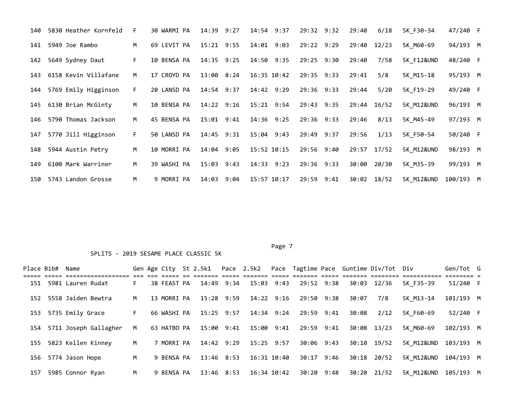| 140 | 5830 Heather Kornfeld    | F. | 30 WARMI PA | 14:39          | 9:27 | 14:54 9:37    | 29:32 9:32 | 29:40 | 6/18        | 5K F30-34             | 47/240 F  |  |
|-----|--------------------------|----|-------------|----------------|------|---------------|------------|-------|-------------|-----------------------|-----------|--|
| 141 | 5949 Joe Rambo           | м  | 69 LEVIT PA | $15:21$ 9:55   |      | 14:01<br>9:03 | 29:22 9:29 | 29:40 | 12/23       | 5K M60-69             | 94/193 M  |  |
| 142 | 5649 Sydney Daut         | F. | 10 BENSA PA | $14:35$ 9:25   |      | $14:50$ 9:35  | 29:25 9:30 | 29:40 | 7/58        | 5K F12&UND            | 48/240 F  |  |
| 143 | 6158 Kevin Villafane     | M  | 17 CROYD PA | 13:00 8:24     |      | 16:35 10:42   | 29:35 9:33 | 29:41 | 5/8         | 5K M15-18             | 95/193 M  |  |
|     | 144 5769 Emily Higginson | F. | 20 LANSD PA | $14:54$ 9:37   |      | 14:42 9:29    | 29:36 9:33 | 29:44 | 5/20        | 5K F19-29             | 49/240 F  |  |
| 145 | 6130 Brian McGinty       | M  | 10 BENSA PA | $14:22$ 9:16   |      | 15:21 9:54    | 29:43 9:35 |       | 29:44 16/52 | 5K M12&UND            | 96/193 M  |  |
| 146 | 5790 Thomas Jackson      | M  | 45 BENSA PA | $15:01$ $9:41$ |      | 14:36 9:25    | 29:36 9:33 | 29:46 | 8/13        | 5K M45-49             | 97/193 M  |  |
| 147 | 5770 Jill Higginson      | F. | 50 LANSD PA | $14:45$ 9:31   |      | 15:04 9:43    | 29:49 9:37 | 29:56 | 1/13        | 5K F50-54             | 50/240 F  |  |
| 148 | 5944 Austin Petry        | M  | 10 MORRI PA | 14:04 9:05     |      | 15:52 10:15   | 29:56 9:40 | 29:57 | 17/52       | <b>5K M12&amp;UND</b> | 98/193 M  |  |
| 149 | 6100 Mark Warriner       | M  | 39 WASHI PA | $15:03$ $9:43$ |      | 14:33 9:23    | 29:36 9:33 | 30:00 | 20/30       | 5K M35-39             | 99/193 M  |  |
|     | 150 5743 Landon Grosse   | M  | 9 MORRI PA  | 14:03          | 9:04 | 15:57 10:17   | 29:59 9:41 |       | 30:02 18/52 | 5K M12&UND            | 100/193 M |  |

| Place Bib# Name |                           |     |             |            |                       |                                    |       | Gen Age City St 2.5k1  Pace 2.5k2  Pace Tagtime Pace Guntime Div/Tot Div |                      | Gen/Tot G |  |
|-----------------|---------------------------|-----|-------------|------------|-----------------------|------------------------------------|-------|--------------------------------------------------------------------------|----------------------|-----------|--|
|                 | 151 5981 Lauren Rudat     | F.  | 38 FEAST PA | 14:49 9:34 | 15:03 9:43            | 29:52 9:38                         |       | 30:03 12/36                                                              | 5K F35-39            | 51/240 F  |  |
|                 | 152 5558 Jaiden Bewtra    | M   | 13 MORRI PA | 15:28 9:59 | 14:22 9:16            | 29:50 9:38                         | 30:07 | 7/8                                                                      | 5K M13-14            | 101/193 M |  |
|                 | 153 5735 Emily Grace      | F.  | 66 WASHI PA | 15:25 9:57 | 14:34 9:24            | 29:59 9:41                         | 30:08 | 2/12                                                                     | 5K F60-69            | 52/240 F  |  |
|                 | 154 5711 Joseph Gallagher | M   | 63 HATBO PA |            |                       | 15:00 9:41 15:00 9:41 29:59 9:41   |       | 30:08 13/23                                                              | 5K M60-69            | 102/193 M |  |
|                 | 155 5823 Kellen Kinney    | M . | 7 MORRI PA  |            | 14:42 9:29 15:25 9:57 | 30:06 9:43                         |       | 30:10 19/52                                                              | 5K M12&UND 103/193 M |           |  |
|                 | 156 5774 Jason Hope       | M   | 9 BENSA PA  | 13:46 8:53 | 16:31 10:40           | 30:17 9:46                         |       | 30:18 20/52                                                              | 5K M12&UND 104/193 M |           |  |
|                 | 157 5985 Connor Ryan      | M   | 9 BENSA PA  | 13:46 8:53 |                       | 16:34 10:42 30:20 9:48 30:20 21/52 |       |                                                                          | 5K M12&UND 105/193 M |           |  |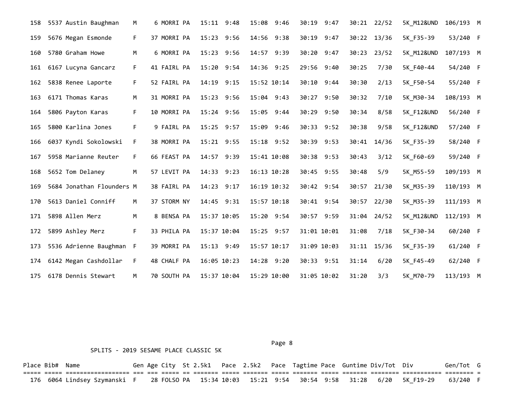| 158 | 5537 Austin Baughman      | м  | 6 MORRI PA  | 15:11 9:48  | 15:08 9:46    | 30:19 9:47    |       | 30:21 22/52 | 5K M12&UND            | 106/193 M |  |
|-----|---------------------------|----|-------------|-------------|---------------|---------------|-------|-------------|-----------------------|-----------|--|
| 159 | 5676 Megan Esmonde        | F. | 37 MORRI PA | 15:23 9:56  | 14:56 9:38    | 30:19 9:47    |       | 30:22 13/36 | 5K F35-39             | 53/240 F  |  |
| 160 | 5780 Graham Howe          | M  | 6 MORRI PA  | 15:23 9:56  | 14:57 9:39    | 30:20 9:47    | 30:23 | 23/52       | 5K M12&UND            | 107/193 M |  |
| 161 | 6167 Lucyna Gancarz       | F. | 41 FAIRL PA | 15:20 9:54  | 14:36 9:25    | 29:56 9:40    | 30:25 | 7/30        | 5K F40-44             | 54/240 F  |  |
| 162 | 5838 Renee Laporte        | F. | 52 FAIRL PA | 14:19 9:15  | 15:52 10:14   | 30:10 9:44    | 30:30 | 2/13        | 5K_F50-54             | 55/240 F  |  |
| 163 | 6171 Thomas Karas         | м  | 31 MORRI PA | 15:23 9:56  | 15:04 9:43    | 30:27 9:50    | 30:32 | 7/10        | 5K M30-34             | 108/193 M |  |
| 164 | 5806 Payton Karas         | F. | 10 MORRI PA | 15:24 9:56  | 15:05<br>9:44 | 30:29<br>9:50 | 30:34 | 8/58        | <b>5K F12&amp;UND</b> | 56/240 F  |  |
| 165 | 5800 Karlina Jones        | F. | 9 FAIRL PA  | 15:25 9:57  | 15:09<br>9:46 | 30:33<br>9:52 | 30:38 | 9/58        | <b>5K F12&amp;UND</b> | 57/240 F  |  |
| 166 | 6037 Kyndi Sokolowski     | F. | 38 MORRI PA | 15:21 9:55  | 15:18 9:52    | 30:39 9:53    | 30:41 | 14/36       | 5K F35-39             | 58/240 F  |  |
| 167 | 5958 Marianne Reuter      | F. | 66 FEAST PA | 14:57 9:39  | 15:41 10:08   | 30:38 9:53    | 30:43 | 3/12        | 5K F60-69             | 59/240 F  |  |
| 168 | 5652 Tom Delaney          | М  | 57 LEVIT PA | 14:33 9:23  | 16:13 10:28   | 30:45 9:55    | 30:48 | 5/9         | 5K M55-59             | 109/193 M |  |
| 169 | 5684 Jonathan Flounders M |    | 38 FAIRL PA | 14:23 9:17  | 16:19 10:32   | 30:42 9:54    | 30:57 | 21/30       | 5K_M35-39             | 110/193 M |  |
| 170 | 5613 Daniel Conniff       | М  | 37 STORM NY | 14:45 9:31  | 15:57 10:18   | 30:41 9:54    | 30:57 | 22/30       | 5K_M35-39             | 111/193 M |  |
| 171 | 5898 Allen Merz           | м  | 8 BENSA PA  | 15:37 10:05 | 15:20 9:54    | 30:57 9:59    | 31:04 | 24/52       | <b>5K M12&amp;UND</b> | 112/193 M |  |
| 172 | 5899 Ashley Merz          | F. | 33 PHILA PA | 15:37 10:04 | 15:25 9:57    | 31:01 10:01   | 31:08 | 7/18        | 5K F30-34             | 60/240 F  |  |
| 173 | 5536 Adrienne Baughman    | F  | 39 MORRI PA | 15:13 9:49  | 15:57 10:17   | 31:09 10:03   | 31:11 | 15/36       | 5K F35-39             | 61/240 F  |  |
| 174 | 6142 Megan Cashdollar     | F. | 48 CHALF PA | 16:05 10:23 | 14:28 9:20    | 30:33 9:51    | 31:14 | 6/20        | 5K F45-49             | 62/240 F  |  |
| 175 | 6178 Dennis Stewart       | M  | 70 SOUTH PA | 15:37 10:04 | 15:29 10:00   | 31:05 10:02   | 31:20 | 3/3         | 5K M70-79             | 113/193 M |  |

Page 8 and 2012 and 2012 and 2012 and 2012 and 2012 and 2012 and 2012 and 2012 and 2012 and 2012 and 2012 and

### SPLITS - 2019 SESAME PLACE CLASSIC 5K

Place Bib# Name 6en Age City St 2.5k1 Pace 2.5k2 Pace Tagtime Pace Guntime Div/Tot Div 6en/Tot G ===== ===== ================== === === ===== == ======= ===== ======= ===== ======= ===== ======= ======== =========== ======== = 176 6064 Lindsey Szymanski F 28 FOLSO PA 15:34 10:03 15:21 9:54 30:54 9:58 31:28 6/20 5K\_F19-29 63/240 F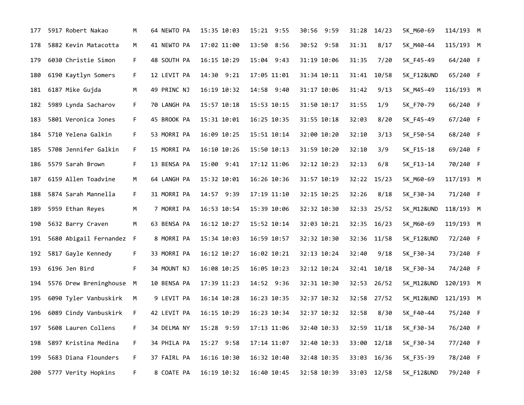| 177 | 5917 Robert Nakao        | М  | 64 NEWTO PA | 15:35 10:03 | 15:21 9:55    | 30:56 9:59  | 31:28           | 14/23 | 5K_M60-69             | 114/193 M |  |
|-----|--------------------------|----|-------------|-------------|---------------|-------------|-----------------|-------|-----------------------|-----------|--|
| 178 | 5882 Kevin Matacotta     | М  | 41 NEWTO PA | 17:02 11:00 | 13:50<br>8:56 | 30:52 9:58  | 31:31           | 8/17  | 5K_M40-44             | 115/193 M |  |
| 179 | 6030 Christie Simon      | F. | 48 SOUTH PA | 16:15 10:29 | 15:04 9:43    | 31:19 10:06 | 31:35           | 7/20  | 5K_F45-49             | 64/240 F  |  |
| 180 | 6190 Kaytlyn Somers      | F. | 12 LEVIT PA | 14:30 9:21  | 17:05 11:01   | 31:34 10:11 | 31:41           | 10/58 | <b>5K F12&amp;UND</b> | 65/240 F  |  |
| 181 | 6187 Mike Gujda          | М  | 49 PRINC NJ | 16:19 10:32 | 14:58 9:40    | 31:17 10:06 | 31:42           | 9/13  | 5K_M45-49             | 116/193 M |  |
| 182 | 5989 Lynda Sacharov      | F. | 70 LANGH PA | 15:57 10:18 | 15:53 10:15   | 31:50 10:17 | 31:55           | 1/9   | 5K_F70-79             | 66/240 F  |  |
| 183 | 5801 Veronica Jones      | F. | 45 BROOK PA | 15:31 10:01 | 16:25 10:35   | 31:55 10:18 | 32:03           | 8/20  | 5K_F45-49             | 67/240 F  |  |
| 184 | 5710 Yelena Galkin       | F. | 53 MORRI PA | 16:09 10:25 | 15:51 10:14   | 32:00 10:20 | 32:10           | 3/13  | 5K_F50-54             | 68/240 F  |  |
| 185 | 5708 Jennifer Galkin     | F. | 15 MORRI PA | 16:10 10:26 | 15:50 10:13   | 31:59 10:20 | 32:10           | 3/9   | 5K_F15-18             | 69/240 F  |  |
| 186 | 5579 Sarah Brown         | F. | 13 BENSA PA | 15:00 9:41  | 17:12 11:06   | 32:12 10:23 | 32:13           | 6/8   | 5K_F13-14             | 70/240 F  |  |
| 187 | 6159 Allen Toadvine      | M  | 64 LANGH PA | 15:32 10:01 | 16:26 10:36   | 31:57 10:19 | 32:22           | 15/23 | 5K_M60-69             | 117/193 M |  |
| 188 | 5874 Sarah Mannella      | F. | 31 MORRI PA | 14:57 9:39  | 17:19 11:10   | 32:15 10:25 | 32:26           | 8/18  | 5K_F30-34             | 71/240 F  |  |
| 189 | 5959 Ethan Reyes         | M  | 7 MORRI PA  | 16:53 10:54 | 15:39 10:06   | 32:32 10:30 | 32:33           | 25/52 | 5K_M12&UND            | 118/193 M |  |
| 190 | 5632 Barry Craven        | M  | 63 BENSA PA | 16:12 10:27 | 15:52 10:14   | 32:03 10:21 | 32:35           | 16/23 | 5K_M60-69             | 119/193 M |  |
| 191 | 5680 Abigail Fernandez F |    | 8 MORRI PA  | 15:34 10:03 | 16:59 10:57   | 32:32 10:30 | 32:36           | 11/58 | 5K_F12&UND            | 72/240 F  |  |
| 192 | 5817 Gayle Kennedy       | F. | 33 MORRI PA | 16:12 10:27 | 16:02 10:21   | 32:13 10:24 | 32:40           | 9/18  | 5K_F30-34             | 73/240 F  |  |
| 193 | 6196 Jen Bird            | F. | 34 MOUNT NJ | 16:08 10:25 | 16:05 10:23   | 32:12 10:24 | $32:41$ $10/18$ |       | 5K_F30-34             | 74/240 F  |  |
| 194 | 5576 Drew Breninghouse   | M  | 10 BENSA PA | 17:39 11:23 | 14:52 9:36    | 32:31 10:30 | 32:53           | 26/52 | 5K_M12&UND            | 120/193 M |  |
| 195 | 6090 Tyler Vanbuskirk    | M  | 9 LEVIT PA  | 16:14 10:28 | 16:23 10:35   | 32:37 10:32 | 32:58           | 27/52 | 5K_M12&UND            | 121/193 M |  |
| 196 | 6089 Cindy Vanbuskirk    | F. | 42 LEVIT PA | 16:15 10:29 | 16:23 10:34   | 32:37 10:32 | 32:58           | 8/30  | 5K F40-44             | 75/240 F  |  |
| 197 | 5608 Lauren Collens      | F  | 34 DELMA NY | 15:28 9:59  | 17:13 11:06   | 32:40 10:33 | 32:59           | 11/18 | 5K_F30-34             | 76/240 F  |  |
| 198 | 5897 Kristina Medina     | F. | 34 PHILA PA | 15:27 9:58  | 17:14 11:07   | 32:40 10:33 | 33:00           | 12/18 | 5K_F30-34             | 77/240 F  |  |
| 199 | 5683 Diana Flounders     | F. | 37 FAIRL PA | 16:16 10:30 | 16:32 10:40   | 32:48 10:35 | 33:03           | 16/36 | 5K_F35-39             | 78/240 F  |  |
| 200 | 5777 Verity Hopkins      | F. | 8 COATE PA  | 16:19 10:32 | 16:40 10:45   | 32:58 10:39 | 33:03 12/58     |       | <b>5K F12&amp;UND</b> | 79/240 F  |  |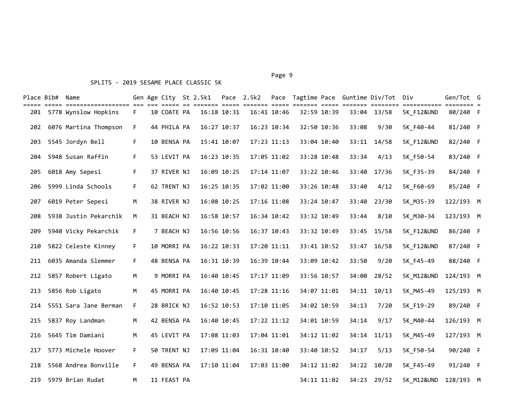# Place Bib# Name The Gen Age City St 2.5k1 Pace 2.5k2 Pace Tagtime Pace Guntime Div/Tot Div The Gen/Tot G ===== ===== ================== === === ===== == ======= ===== ======= ===== ======= ===== ======= ======== =========== ======== = 201 5778 Wynslow Hopkins F 10 COATE PA 16:18 10:31 16:41 10:46 32:59 10:39 33:04 13/58 5K\_F12&UND 80/240 F 202 6076 Martina Thompson F 44 PHILA PA 16:27 10:37 16:23 10:34 32:50 10:36 33:08 9/30 5K\_F40-44 81/240 F 203 5545 Jordyn Bell F 10 BENSA PA 15:41 10:07 17:23 11:13 33:04 10:40 33:11 14/58 5K\_F12&UND 82/240 F 204 5948 Susan Raffin F 53 LEVIT PA 16:23 10:35 17:05 11:02 33:28 10:48 33:34 4/13 5K\_F50-54 83/240 F 205 6018 Amy Sepesi F 37 RIVER NJ 16:09 10:25 17:14 11:07 33:22 10:46 33:40 17/36 5K\_F35-39 84/240 F 206 5999 Linda Schools F 62 TRENT NJ 16:25 10:35 17:02 11:00 33:26 10:48 33:40 4/12 5K\_F60-69 85/240 F 207 6019 Peter Sepesi M 38 RIVER NJ 16:08 10:25 17:16 11:08 33:24 10:47 33:40 23/30 5K\_M35-39 122/193 M 208 5938 Justin Pekarchik M 31 BEACH NJ 16:58 10:57 16:34 10:42 33:32 10:49 33:44 8/10 5K\_M30-34 123/193 M 209 5940 Vicky Pekarchik F 7 BEACH NJ 16:56 10:56 16:37 10:43 33:32 10:49 33:45 15/58 5K\_F12&UND 86/240 F 210 5822 Celeste Kinney F 10 MORRI PA 16:22 10:33 17:20 11:11 33:41 10:52 33:47 16/58 5K\_F12&UND 87/240 F 211 6035 Amanda Slemmer F 48 BENSA PA 16:31 10:39 16:39 10:44 33:09 10:42 33:50 9/20 5K\_F45-49 88/240 F 212 5857 Robert Ligato M 9 MORRI PA 16:40 10:45 17:17 11:09 33:56 10:57 34:00 28/52 5K\_M12&UND 124/193 M 213 5856 Rob Ligato M 45 MORRI PA 16:40 10:45 17:28 11:16 34:07 11:01 34:11 10/13 5K\_M45-49 125/193 M 214 5551 Sara Jane Berman F 28 BRICK NJ 16:52 10:53 17:10 11:05 34:02 10:59 34:13 7/20 5K\_F19-29 89/240 F 215 5837 Roy Landman M 42 BENSA PA 16:40 10:45 17:22 11:12 34:01 10:59 34:14 9/17 5K\_M40-44 126/193 M 216 5645 Tim Damiani M 45 LEVIT PA 17:08 11:03 17:04 11:01 34:12 11:02 34:14 11/13 5K\_M45-49 127/193 M 217 5773 Michele Hoover F 50 TRENT NJ 17:09 11:04 16:31 10:40 33:40 10:52 34:17 5/13 5K\_F50-54 90/240 F 218 5568 Andrea Bonville F 49 BENSA PA 17:10 11:04 17:03 11:00 34:12 11:02 34:22 10/20 5K\_F45-49 91/240 F

219 5979 Brian Rudat M 11 FEAST PA 34:11 11:02 34:23 29/52 5K\_M12&UND 128/193 M

Page 9 - Page 9 - Page 9 - Page 9 - Page 9 - Page 9 - Page 9 - Page 9 - Page 9 - Page 9 - Page 9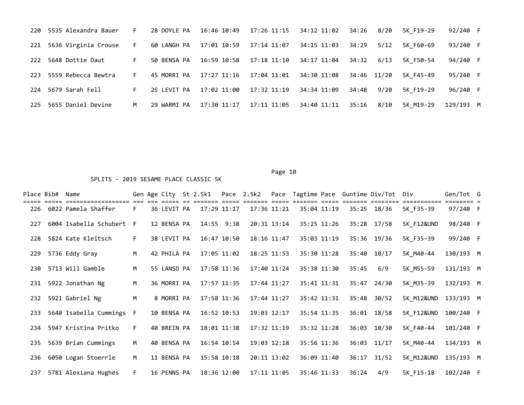|     | 220 5535 Alexandra Bauer | F. | 28 DOYLE PA | 16:46 10:49             | 17:26 11:15 | 34:12 11:02        | 34:26       | 8/20 | 5K F19-29 | 92/240 F  |  |
|-----|--------------------------|----|-------------|-------------------------|-------------|--------------------|-------------|------|-----------|-----------|--|
|     | 221 5636 Virginia Crouse | F. | 60 LANGH PA | 17:01 10:59             | 17:14 11:07 | 34:15 11:03        | 34:29       | 5/12 | 5K F60-69 | 93/240 F  |  |
| 222 | 5648 Dottie Daut         | F. | 50 BENSA PA | 16:59 10:58 17:18 11:10 |             | 34:17 11:04  34:32 |             | 6/13 | 5K F50-54 | 94/240 F  |  |
|     | 223 5559 Rebecca Bewtra  | F. | 45 MORRI PA | 17:27 11:16             | 17:04 11:01 | 34:30 11:08        | 34:46 11/20 |      | 5K F45-49 | 95/240 F  |  |
|     | 224 5679 Sarah Fell      | F. | 25 LEVIT PA | 17:02 11:00             | 17:32 11:19 | 34:34 11:09        | 34:48       | 9/20 | 5K F19-29 | 96/240 F  |  |
| 225 | 5655 Daniel Devine       | M  | 29 WARMI PA | 17:30 11:17             | 17:11 11:05 | 34:40 11:11        | 35:16       | 8/10 | 5K M19-29 | 129/193 M |  |

| Place Bib# | Name                                       |    | Gen Age City St 2.5k1 |             |             | Pace 2.5k2 |                 |             |       | Pace Tagtime Pace Guntime Div/Tot Div |                       | Gen/Tot G |  |
|------------|--------------------------------------------|----|-----------------------|-------------|-------------|------------|-----------------|-------------|-------|---------------------------------------|-----------------------|-----------|--|
|            | ===============<br>226 6022 Pamela Shaffer | F. | 36 LEVIT PA           | 17:29 11:17 |             |            | 17:36 11:21     | 35:04 11:19 |       | 35:25 18/36                           | ========<br>5K F35-39 | 97/240 F  |  |
| 227        | 6004 Isabella Schubert F                   |    | 12 BENSA PA           |             | 14:55 9:38  |            | 20:31 13:14     | 35:25 11:26 |       | 35:28 17/58                           | 5K F12&UND            | 98/240 F  |  |
| 228        | 5824 Kate Kleitsch                         | F. | 38 LEVIT PA           |             | 16:47 10:50 |            | 18:16 11:47     | 35:03 11:19 |       | 35:36 19/36                           | 5K F35-39             | 99/240 F  |  |
| 229        | 5736 Eddy Gray                             | M  | 42 PHILA PA           |             | 17:05 11:02 |            | $18:25$ $11:53$ | 35:30 11:28 |       | 35:40 10/17                           | 5K M40-44             | 130/193 M |  |
| 230        | 5713 Will Gamble                           | M  | 55 LANSD PA           |             | 17:58 11:36 |            | 17:40 11:24     | 35:38 11:30 | 35:45 | 6/9                                   | 5K M55-59             | 131/193 M |  |
| 231        | 5922 Jonathan Ng                           | M  | 36 MORRI PA           |             | 17:57 11:35 |            | 17:44 11:27     | 35:41 11:31 |       | 35:47 24/30                           | 5K M35-39             | 132/193 M |  |
| 232        | 5921 Gabriel Ng                            | M  | 8 MORRI PA            |             | 17:58 11:36 |            | 17:44 11:27     | 35:42 11:31 |       | 35:48 30/52                           | 5K M12&UND            | 133/193 M |  |
| 233        | 5640 Isabella Cummings                     | F  | 10 BENSA PA           |             | 16:52 10:53 |            | 19:03 12:17     | 35:54 11:35 |       | 36:01 18/58                           | 5K F12&UND            | 100/240 F |  |
| 234        | 5947 Kristina Pritko                       | F. | 40 BREIN PA           |             | 18:01 11:38 |            | 17:32 11:19     | 35:32 11:28 |       | 36:03 10/30                           | 5K F40-44             | 101/240 F |  |
| 235        | 5639 Brian Cummings                        | M  | 40 BENSA PA           |             | 16:54 10:54 |            | 19:03 12:18     | 35:56 11:36 |       | $36:03$ $11/17$                       | 5K M40-44             | 134/193 M |  |
| 236        | 6050 Logan Stoerrle                        | M  | 11 BENSA PA           |             | 15:58 10:18 |            | 20:11 13:02     | 36:09 11:40 |       | $36:17$ $31/52$                       | 5K M12&UND            | 135/193 M |  |
| 237        | 5781 Alexiana Hughes                       | F. | 16 PENNS PA           | 18:36 12:00 |             |            | 17:11 11:05     | 35:46 11:33 | 36:24 | 4/9                                   | 5K F15-18             | 102/240 F |  |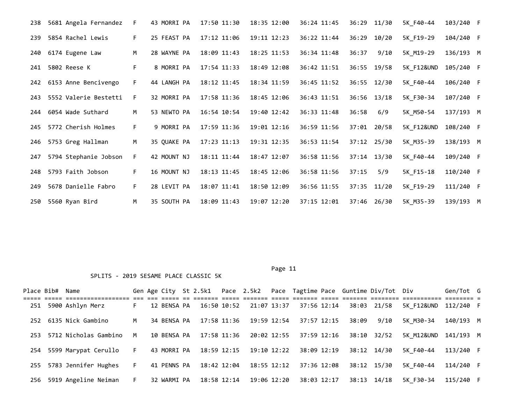| 238 | 5681 Angela Fernandez | F. | 43 MORRI PA | 17:50 11:30 | 18:35 12:00 | 36:24 11:45 |       | 36:29 11/30 | 5K F40-44  | 103/240 F |  |
|-----|-----------------------|----|-------------|-------------|-------------|-------------|-------|-------------|------------|-----------|--|
| 239 | 5854 Rachel Lewis     | F. | 25 FEAST PA | 17:12 11:06 | 19:11 12:23 | 36:22 11:44 |       | 36:29 10/20 | 5K F19-29  | 104/240 F |  |
| 240 | 6174 Eugene Law       | M  | 28 WAYNE PA | 18:09 11:43 | 18:25 11:53 | 36:34 11:48 | 36:37 | 9/10        | 5K M19-29  | 136/193 M |  |
| 241 | 5802 Reese K          | F. | 8 MORRI PA  | 17:54 11:33 | 18:49 12:08 | 36:42 11:51 |       | 36:55 19/58 | 5K F12&UND | 105/240 F |  |
| 242 | 6153 Anne Bencivengo  | F. | 44 LANGH PA | 18:12 11:45 | 18:34 11:59 | 36:45 11:52 |       | 36:55 12/30 | 5K F40-44  | 106/240 F |  |
| 243 | 5552 Valerie Bestetti | F. | 32 MORRI PA | 17:58 11:36 | 18:45 12:06 | 36:43 11:51 |       | 36:56 13/18 | 5K F30-34  | 107/240 F |  |
| 244 | 6054 Wade Suthard     | M  | 53 NEWTO PA | 16:54 10:54 | 19:40 12:42 | 36:33 11:48 | 36:58 | 6/9         | 5K M50-54  | 137/193 M |  |
| 245 | 5772 Cherish Holmes   | F. | 9 MORRI PA  | 17:59 11:36 | 19:01 12:16 | 36:59 11:56 |       | 37:01 20/58 | 5K F12&UND | 108/240 F |  |
| 246 | 5753 Greg Hallman     | M  | 35 QUAKE PA | 17:23 11:13 | 19:31 12:35 | 36:53 11:54 |       | 37:12 25/30 | 5K M35-39  | 138/193 M |  |
| 247 | 5794 Stephanie Jobson | F. | 42 MOUNT NJ | 18:11 11:44 | 18:47 12:07 | 36:58 11:56 |       | 37:14 13/30 | 5K F40-44  | 109/240 F |  |
| 248 | 5793 Faith Jobson     | F. | 16 MOUNT NJ | 18:13 11:45 | 18:45 12:06 | 36:58 11:56 | 37:15 | 5/9         | 5K F15-18  | 110/240 F |  |
| 249 | 5678 Danielle Fabro   | F. | 28 LEVIT PA | 18:07 11:41 | 18:50 12:09 | 36:56 11:55 |       | 37:35 11/20 | 5K F19-29  | 111/240 F |  |
| 250 | 5560 Ryan Bird        | M  | 35 SOUTH PA | 18:09 11:43 | 19:07 12:20 | 37:15 12:01 |       | 37:46 26/30 | 5K M35-39  | 139/193 M |  |

Page 11

|     | Place Bib# Name |                                               |    |             | Gen Age City St 2.5k1 Pace 2.5k2 |             |                 |             |       | Pace Tagtime Pace Guntime Div/Tot Div |                      | Gen/Tot G |  |
|-----|-----------------|-----------------------------------------------|----|-------------|----------------------------------|-------------|-----------------|-------------|-------|---------------------------------------|----------------------|-----------|--|
| 251 |                 | ----- -------------------<br>5900 Ashlyn Merz | F. | 12 BENSA PA | 16:50 10:52                      | 21:07 13:37 |                 | 37:56 12:14 |       | 38:03 21/58                           | 5K F12&UND 112/240 F |           |  |
|     |                 | 252 6135 Nick Gambino                         | M  | 34 BENSA PA | 17:58 11:36                      |             | 19:59 12:54     | 37:57 12:15 | 38:09 | 9/10                                  | 5K M30-34            | 140/193 M |  |
| 253 |                 | 5712 Nicholas Gambino                         | M  | 10 BENSA PA | 17:58 11:36                      | 20:02 12:55 |                 | 37:59 12:16 |       | 38:10 32/52                           | 5K M12&UND 141/193 M |           |  |
| 254 |                 | 5599 Marypat Cerullo                          | F. | 43 MORRI PA | 18:59 12:15                      | 19:10 12:22 |                 | 38:09 12:19 |       | 38:12 14/30                           | 5K F40-44            | 113/240 F |  |
| 255 |                 | 5783 Jennifer Hughes                          | F. | 41 PENNS PA | 18:42 12:04                      |             | $18:55$ $12:12$ | 37:36 12:08 |       | 38:12 15/30                           | 5K F40-44            | 114/240 F |  |
| 256 |                 | 5919 Angeline Neiman                          | F. | 32 WARMI PA | 18:58 12:14                      |             | 19:06 12:20     | 38:03 12:17 | 38:13 | 14/18                                 | 5K F30-34            | 115/240 F |  |
|     |                 |                                               |    |             |                                  |             |                 |             |       |                                       |                      |           |  |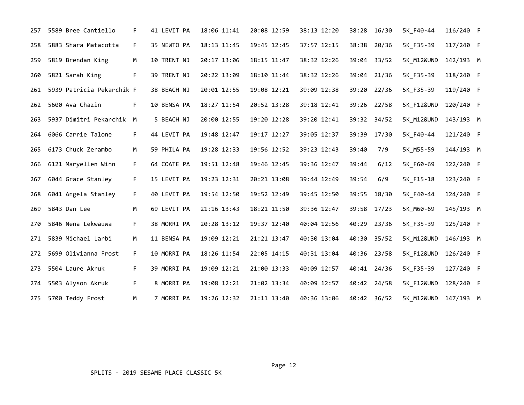| 257 | 5589 Bree Cantiello           | F. | 41 LEVIT PA | 18:06 11:41 | 20:08 12:59 | 38:13 12:20 | 38:28       | 16/30       | 5K F40-44             | 116/240 F |  |
|-----|-------------------------------|----|-------------|-------------|-------------|-------------|-------------|-------------|-----------------------|-----------|--|
| 258 | 5883 Shara Matacotta          | F. | 35 NEWTO PA | 18:13 11:45 | 19:45 12:45 | 37:57 12:15 | 38:38       | 20/36       | 5K_F35-39             | 117/240 F |  |
| 259 | 5819 Brendan King             | M  | 10 TRENT NJ | 20:17 13:06 | 18:15 11:47 | 38:32 12:26 |             | 39:04 33/52 | 5K M12&UND            | 142/193 M |  |
| 260 | 5821 Sarah King               | F. | 39 TRENT NJ | 20:22 13:09 | 18:10 11:44 | 38:32 12:26 |             | 39:04 21/36 | 5K F35-39             | 118/240 F |  |
|     | 261 5939 Patricia Pekarchik F |    | 38 BEACH NJ | 20:01 12:55 | 19:08 12:21 | 39:09 12:38 |             | 39:20 22/36 | 5K F35-39             | 119/240 F |  |
| 262 | 5600 Ava Chazin               | F. | 10 BENSA PA | 18:27 11:54 | 20:52 13:28 | 39:18 12:41 | 39:26 22/58 |             | <b>5K F12&amp;UND</b> | 120/240 F |  |
| 263 | 5937 Dimitri Pekarchik M      |    | 5 BEACH NJ  | 20:00 12:55 | 19:20 12:28 | 39:20 12:41 |             | 39:32 34/52 | 5K M12&UND            | 143/193 M |  |
|     | 264 6066 Carrie Talone        | F. | 44 LEVIT PA | 19:48 12:47 | 19:17 12:27 | 39:05 12:37 | 39:39       | 17/30       | 5K F40-44             | 121/240 F |  |
| 265 | 6173 Chuck Zerambo            | M  | 59 PHILA PA | 19:28 12:33 | 19:56 12:52 | 39:23 12:43 | 39:40       | 7/9         | 5K M55-59             | 144/193 M |  |
| 266 | 6121 Maryellen Winn           | F. | 64 COATE PA | 19:51 12:48 | 19:46 12:45 | 39:36 12:47 | 39:44       | 6/12        | 5K F60-69             | 122/240 F |  |
| 267 | 6044 Grace Stanley            | F. | 15 LEVIT PA | 19:23 12:31 | 20:21 13:08 | 39:44 12:49 | 39:54       | 6/9         | 5K F15-18             | 123/240 F |  |
| 268 | 6041 Angela Stanley           | F. | 40 LEVIT PA | 19:54 12:50 | 19:52 12:49 | 39:45 12:50 | 39:55       | 18/30       | 5K F40-44             | 124/240 F |  |
| 269 | 5843 Dan Lee                  | М  | 69 LEVIT PA | 21:16 13:43 | 18:21 11:50 | 39:36 12:47 | 39:58       | 17/23       | 5K M60-69             | 145/193 M |  |
| 270 | 5846 Nena Lekwauwa            | F. | 38 MORRI PA | 20:28 13:12 | 19:37 12:40 | 40:04 12:56 | 40:29       | 23/36       | 5K F35-39             | 125/240 F |  |
| 271 | 5839 Michael Larbi            | M  | 11 BENSA PA | 19:09 12:21 | 21:21 13:47 | 40:30 13:04 | 40:30       | 35/52       | 5K_M12&UND            | 146/193 M |  |
| 272 | 5699 Olivianna Frost          | F. | 10 MORRI PA | 18:26 11:54 | 22:05 14:15 | 40:31 13:04 | 40:36       | 23/58       | 5K F12&UND            | 126/240 F |  |
| 273 | 5504 Laure Akruk              | F. | 39 MORRI PA | 19:09 12:21 | 21:00 13:33 | 40:09 12:57 | 40:41 24/36 |             | 5K_F35-39             | 127/240 F |  |
| 274 | 5503 Alyson Akruk             | F. | 8 MORRI PA  | 19:08 12:21 | 21:02 13:34 | 40:09 12:57 | 40:42 24/58 |             | 5K F12&UND            | 128/240 F |  |
| 275 | 5700 Teddy Frost              | M  | 7 MORRI PA  | 19:26 12:32 | 21:11 13:40 | 40:36 13:06 |             | 40:42 36/52 | 5K M12&UND 147/193 M  |           |  |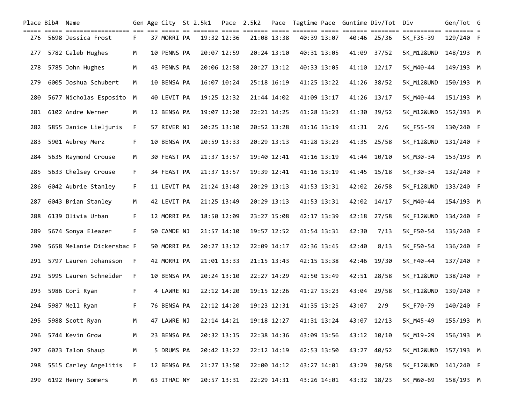| Place Bib# Name |                           |    |             | Gen Age City St 2.5k1 |             | Pace 2.5k2 |             |             |       | Pace Tagtime Pace Guntime Div/Tot Div |                       | Gen/Tot G |  |
|-----------------|---------------------------|----|-------------|-----------------------|-------------|------------|-------------|-------------|-------|---------------------------------------|-----------------------|-----------|--|
|                 | 276 5698 Jessica Frost    | F. | 37 MORRI PA |                       | 19:32 12:36 |            | 21:08 13:38 | 40:39 13:07 | 40:46 | 25/36                                 | 5K F35-39             | 129/240 F |  |
| 277             | 5782 Caleb Hughes         | M  | 10 PENNS PA |                       | 20:07 12:59 |            | 20:24 13:10 | 40:31 13:05 | 41:09 | 37/52                                 | 5K M12&UND            | 148/193 M |  |
| 278             | 5785 John Hughes          | м  | 43 PENNS PA |                       | 20:06 12:58 |            | 20:27 13:12 | 40:33 13:05 | 41:10 | 12/17                                 | 5K M40-44             | 149/193 M |  |
| 279             | 6005 Joshua Schubert      | М  | 10 BENSA PA |                       | 16:07 10:24 |            | 25:18 16:19 | 41:25 13:22 | 41:26 | 38/52                                 | 5K_M12&UND            | 150/193 M |  |
| 280             | 5677 Nicholas Esposito M  |    | 40 LEVIT PA |                       | 19:25 12:32 |            | 21:44 14:02 | 41:09 13:17 | 41:26 | 13/17                                 | 5K M40-44             | 151/193 M |  |
| 281             | 6102 Andre Werner         | М  | 12 BENSA PA |                       | 19:07 12:20 |            | 22:21 14:25 | 41:28 13:23 | 41:30 | 39/52                                 | 5K_M12&UND            | 152/193 M |  |
| 282             | 5855 Janice Lieljuris     | F. | 57 RIVER NJ |                       | 20:25 13:10 |            | 20:52 13:28 | 41:16 13:19 | 41:31 | 2/6                                   | 5K_F55-59             | 130/240 F |  |
| 283             | 5901 Aubrey Merz          | F. | 10 BENSA PA |                       | 20:59 13:33 |            | 20:29 13:13 | 41:28 13:23 | 41:35 | 25/58                                 | 5K F12&UND            | 131/240 F |  |
| 284             | 5635 Raymond Crouse       | M  | 30 FEAST PA |                       | 21:37 13:57 |            | 19:40 12:41 | 41:16 13:19 |       | 41:44 10/10                           | 5K M30-34             | 153/193 M |  |
| 285             | 5633 Chelsey Crouse       | F. | 34 FEAST PA |                       | 21:37 13:57 |            | 19:39 12:41 | 41:16 13:19 | 41:45 | 15/18                                 | 5K F30-34             | 132/240 F |  |
| 286             | 6042 Aubrie Stanley       | F. | 11 LEVIT PA |                       | 21:24 13:48 |            | 20:29 13:13 | 41:53 13:31 |       | 42:02 26/58                           | <b>5K F12&amp;UND</b> | 133/240 F |  |
| 287             | 6043 Brian Stanley        | М  | 42 LEVIT PA |                       | 21:25 13:49 |            | 20:29 13:13 | 41:53 13:31 |       | 42:02 14/17                           | 5K M40-44             | 154/193 M |  |
| 288             | 6139 Olivia Urban         | F. | 12 MORRI PA |                       | 18:50 12:09 |            | 23:27 15:08 | 42:17 13:39 | 42:18 | 27/58                                 | <b>5K F12&amp;UND</b> | 134/240 F |  |
| 289             | 5674 Sonya Eleazer        | F. | 50 CAMDE NJ |                       | 21:57 14:10 |            | 19:57 12:52 | 41:54 13:31 | 42:30 | 7/13                                  | 5K F50-54             | 135/240 F |  |
| 290             | 5658 Melanie Dickersbac F |    | 50 MORRI PA |                       | 20:27 13:12 |            | 22:09 14:17 | 42:36 13:45 | 42:40 | 8/13                                  | 5K F50-54             | 136/240 F |  |
| 291             | 5797 Lauren Johansson     | F. | 42 MORRI PA |                       | 21:01 13:33 |            | 21:15 13:43 | 42:15 13:38 | 42:46 | 19/30                                 | 5K F40-44             | 137/240 F |  |
| 292             | 5995 Lauren Schneider     | F. | 10 BENSA PA |                       | 20:24 13:10 |            | 22:27 14:29 | 42:50 13:49 | 42:51 | 28/58                                 | 5K F12&UND            | 138/240 F |  |
| 293             | 5986 Cori Ryan            | F. | 4 LAWRE NJ  |                       | 22:12 14:20 |            | 19:15 12:26 | 41:27 13:23 |       | 43:04 29/58                           | 5K F12&UND            | 139/240 F |  |
| 294             | 5987 Mell Ryan            | F. | 76 BENSA PA |                       | 22:12 14:20 |            | 19:23 12:31 | 41:35 13:25 | 43:07 | 2/9                                   | 5K F70-79             | 140/240 F |  |
| 295             | 5988 Scott Ryan           | М  | 47 LAWRE NJ |                       | 22:14 14:21 |            | 19:18 12:27 | 41:31 13:24 |       | 43:07 12/13                           | 5K_M45-49             | 155/193 M |  |
| 296             | 5744 Kevin Grow           | М  | 23 BENSA PA |                       | 20:32 13:15 |            | 22:38 14:36 | 43:09 13:56 |       | 43:12 10/10                           | 5K_M19-29             | 156/193 M |  |
| 297             | 6023 Talon Shaup          | M  | 5 DRUMS PA  |                       | 20:42 13:22 |            | 22:12 14:19 | 42:53 13:50 | 43:27 | 40/52                                 | 5K_M12&UND 157/193 M  |           |  |
| 298             | 5515 Carley Angelitis     | F. | 12 BENSA PA |                       | 21:27 13:50 |            | 22:00 14:12 | 43:27 14:01 | 43:29 | 30/58                                 | 5K F12&UND            | 141/240 F |  |
| 299             | 6192 Henry Somers         | M  | 63 ITHAC NY |                       | 20:57 13:31 |            | 22:29 14:31 | 43:26 14:01 |       | 43:32 18/23                           | 5K_M60-69             | 158/193 M |  |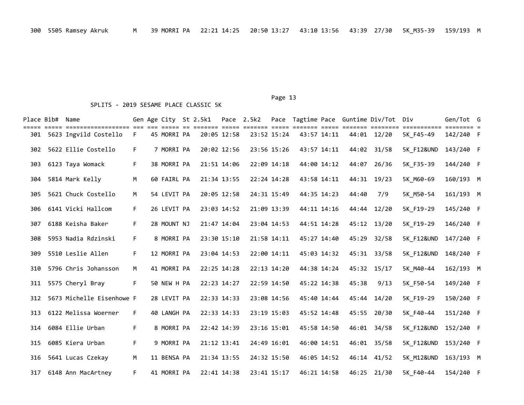|     | Place Bib# Name |                           |    |             | Gen Age City St 2.5k1 |             | Pace 2.5k2 |             |             |       | Pace Tagtime Pace Guntime Div/Tot Div |                                      | Gen/Tot G |  |
|-----|-----------------|---------------------------|----|-------------|-----------------------|-------------|------------|-------------|-------------|-------|---------------------------------------|--------------------------------------|-----------|--|
| 301 |                 | 5623 Ingvild Costello     | F. | 45 MORRI PA |                       | 20:05 12:58 |            | 23:52 15:24 | 43:57 14:11 |       | 44:01 12/20                           | ============ ======== =<br>5K F45-49 | 142/240 F |  |
| 302 |                 | 5622 Ellie Costello       | F. | 7 MORRI PA  |                       | 20:02 12:56 |            | 23:56 15:26 | 43:57 14:11 |       | 44:02 31/58                           | <b>5K F12&amp;UND</b>                | 143/240 F |  |
| 303 |                 | 6123 Taya Womack          | F. | 38 MORRI PA |                       | 21:51 14:06 |            | 22:09 14:18 | 44:00 14:12 | 44:07 | 26/36                                 | 5K F35-39                            | 144/240 F |  |
| 304 |                 | 5814 Mark Kelly           | М  | 60 FAIRL PA |                       | 21:34 13:55 |            | 22:24 14:28 | 43:58 14:11 |       | 44:31 19/23                           | 5K M60-69                            | 160/193 M |  |
| 305 |                 | 5621 Chuck Costello       | M  | 54 LEVIT PA |                       | 20:05 12:58 |            | 24:31 15:49 | 44:35 14:23 | 44:40 | 7/9                                   | 5K M50-54                            | 161/193 M |  |
| 306 |                 | 6141 Vicki Hallcom        | F. | 26 LEVIT PA |                       | 23:03 14:52 |            | 21:09 13:39 | 44:11 14:16 |       | 44:44 12/20                           | 5K F19-29                            | 145/240 F |  |
| 307 |                 | 6188 Keisha Baker         | F. | 28 MOUNT NJ |                       | 21:47 14:04 |            | 23:04 14:53 | 44:51 14:28 |       | 45:12 13/20                           | 5K F19-29                            | 146/240 F |  |
| 308 |                 | 5953 Nadia Rdzinski       | F. | 8 MORRI PA  |                       | 23:30 15:10 |            | 21:58 14:11 | 45:27 14:40 | 45:29 | 32/58                                 | 5K F12&UND                           | 147/240 F |  |
| 309 |                 | 5510 Leslie Allen         | F. | 12 MORRI PA |                       | 23:04 14:53 |            | 22:00 14:11 | 45:03 14:32 |       | 45:31 33/58                           | 5K F12&UND                           | 148/240 F |  |
| 310 |                 | 5796 Chris Johansson      | М  | 41 MORRI PA |                       | 22:25 14:28 |            | 22:13 14:20 | 44:38 14:24 |       | 45:32 15/17                           | 5K M40-44                            | 162/193 M |  |
| 311 |                 | 5575 Cheryl Bray          | F. | 50 NEW H PA |                       | 22:23 14:27 |            | 22:59 14:50 | 45:22 14:38 | 45:38 | 9/13                                  | 5K F50-54                            | 149/240 F |  |
| 312 |                 | 5673 Michelle Eisenhowe F |    | 28 LEVIT PA |                       | 22:33 14:33 |            | 23:08 14:56 | 45:40 14:44 |       | 45:44 14/20                           | 5K F19-29                            | 150/240 F |  |
| 313 |                 | 6122 Melissa Woerner      | F. | 40 LANGH PA |                       | 22:33 14:33 |            | 23:19 15:03 | 45:52 14:48 |       | 45:55 20/30                           | 5K F40-44                            | 151/240 F |  |
| 314 |                 | 6084 Ellie Urban          | F. | 8 MORRI PA  |                       | 22:42 14:39 |            | 23:16 15:01 | 45:58 14:50 |       | 46:01 34/58                           | 5K F12&UND                           | 152/240 F |  |
| 315 |                 | 6085 Kiera Urban          | F. | 9 MORRI PA  |                       | 21:12 13:41 |            | 24:49 16:01 | 46:00 14:51 |       | 46:01 35/58                           | 5K F12&UND                           | 153/240 F |  |
| 316 |                 | 5641 Lucas Czekay         | M  | 11 BENSA PA |                       | 21:34 13:55 |            | 24:32 15:50 | 46:05 14:52 |       | 46:14 41/52                           | 5K M12&UND                           | 163/193 M |  |
|     |                 | 317 6148 Ann MacArtney    | F. | 41 MORRI PA |                       | 22:41 14:38 |            | 23:41 15:17 | 46:21 14:58 |       | 46:25 21/30                           | 5K F40-44                            | 154/240 F |  |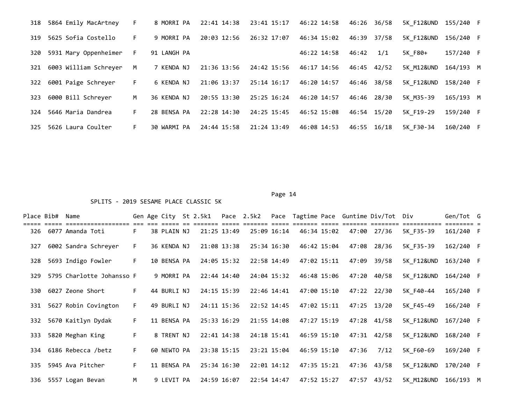|     | 318 5864 Emily MacArtney | F. | 8 MORRI PA  | 22:41 14:38 | 23:41 15:17 | 46:22 14:58 | 46:26       | 36/58       | 5K F12&UND 155/240 F |           |  |
|-----|--------------------------|----|-------------|-------------|-------------|-------------|-------------|-------------|----------------------|-----------|--|
| 319 | 5625 Sofia Costello      | F. | 9 MORRI PA  | 20:03 12:56 | 26:32 17:07 | 46:34 15:02 | 46:39       | 37/58       | 5K F12&UND           | 156/240 F |  |
| 320 | 5931 Mary Oppenheimer    | F. | 91 LANGH PA |             |             | 46:22 14:58 | 46:42       | 1/1         | 5K F80+              | 157/240 F |  |
| 321 | 6003 William Schreyer    | M  | 7 KENDA NJ  | 21:36 13:56 | 24:42 15:56 | 46:17 14:56 | 46:45 42/52 |             | 5K M12&UND           | 164/193 M |  |
| 322 | 6001 Paige Schreyer      | F. | 6 KENDA NJ  | 21:06 13:37 | 25:14 16:17 | 46:20 14:57 | 46:46       | 38/58       | 5K F12&UND           | 158/240 F |  |
| 323 | 6000 Bill Schreyer       | M  | 36 KENDA NJ | 20:55 13:30 | 25:25 16:24 | 46:20 14:57 |             | 46:46 28/30 | 5K M35-39            | 165/193 M |  |
| 324 | 5646 Maria Dandrea       | F. | 28 BENSA PA | 22:28 14:30 | 24:25 15:45 | 46:52 15:08 | 46:54 15/20 |             | 5K F19-29            | 159/240 F |  |
| 325 | 5626 Laura Coulter       | F. | 30 WARMI PA | 24:44 15:58 | 21:24 13:49 | 46:08 14:53 | 46:55 16/18 |             | 5K F30-34            | 160/240 F |  |

Page 14

|     | Place Bib# Name |                           |    |             |             |             |             |             |       | Gen Age City St 2.5k1  Pace 2.5k2  Pace Tagtime Pace Guntime Div/Tot Div |                      | Gen/Tot G |  |
|-----|-----------------|---------------------------|----|-------------|-------------|-------------|-------------|-------------|-------|--------------------------------------------------------------------------|----------------------|-----------|--|
| 326 |                 | 6077 Amanda Toti          | F. | 38 PLAIN NJ | 21:25 13:49 |             | 25:09 16:14 | 46:34 15:02 | 47:00 | 27/36                                                                    | 5K F35-39            | 161/240 F |  |
| 327 |                 | 6002 Sandra Schreyer      | F. | 36 KENDA NJ | 21:08 13:38 |             | 25:34 16:30 | 46:42 15:04 | 47:08 | 28/36                                                                    | 5K F35-39            | 162/240 F |  |
| 328 |                 | 5693 Indigo Fowler        | F. | 10 BENSA PA | 24:05 15:32 |             | 22:58 14:49 | 47:02 15:11 | 47:09 | 39/58                                                                    | 5K F12&UND 163/240 F |           |  |
| 329 |                 | 5795 Charlotte Johansso F |    | 9 MORRI PA  |             | 22:44 14:40 | 24:04 15:32 | 46:48 15:06 |       | 47:20 40/58                                                              | 5K F12&UND           | 164/240 F |  |
| 330 |                 | 6027 Zeone Short          | F. | 44 BURLI NJ | 24:15 15:39 |             | 22:46 14:41 | 47:00 15:10 |       | 47:22 22/30                                                              | 5K F40-44            | 165/240 F |  |
| 331 |                 | 5627 Robin Covington      | F. | 49 BURLI NJ | 24:11 15:36 |             | 22:52 14:45 | 47:02 15:11 |       | 47:25 13/20                                                              | 5K F45-49            | 166/240 F |  |
|     |                 | 332 5670 Kaitlyn Dydak    | F. | 11 BENSA PA | 25:33 16:29 |             | 21:55 14:08 | 47:27 15:19 |       | 47:28 41/58                                                              | 5K F12&UND           | 167/240 F |  |
| 333 |                 | 5820 Meghan King          | F. | 8 TRENT NJ  | 22:41 14:38 |             | 24:18 15:41 | 46:59 15:10 |       | 47:31 42/58                                                              | 5K F12&UND           | 168/240 F |  |
|     |                 | 334 6186 Rebecca /betz    | F. | 60 NEWTO PA | 23:38 15:15 |             | 23:21 15:04 | 46:59 15:10 | 47:36 | 7/12                                                                     | 5K F60-69            | 169/240 F |  |
| 335 |                 | 5945 Ava Pitcher          | F. | 11 BENSA PA | 25:34 16:30 |             | 22:01 14:12 | 47:35 15:21 |       | 47:36 43/58                                                              | 5K F12&UND 170/240 F |           |  |
|     |                 | 336 5557 Logan Bevan      | M  | 9 LEVIT PA  | 24:59 16:07 |             | 22:54 14:47 | 47:52 15:27 |       | 47:57 43/52                                                              | 5K M12&UND 166/193 M |           |  |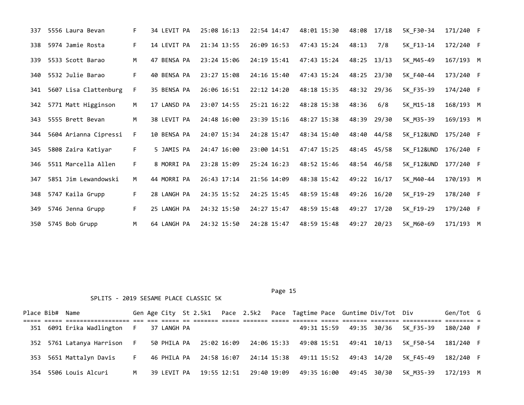| 337 | 5556 Laura Bevan      | F. | 34 LEVIT PA | 25:08 16:13 | 22:54 14:47 | 48:01 15:30 | 48:08 | 17/18       | 5K F30-34  | 171/240 F |  |
|-----|-----------------------|----|-------------|-------------|-------------|-------------|-------|-------------|------------|-----------|--|
| 338 | 5974 Jamie Rosta      | F. | 14 LEVIT PA | 21:34 13:55 | 26:09 16:53 | 47:43 15:24 | 48:13 | 7/8         | 5K F13-14  | 172/240 F |  |
| 339 | 5533 Scott Barao      | M  | 47 BENSA PA | 23:24 15:06 | 24:19 15:41 | 47:43 15:24 |       | 48:25 13/13 | 5K M45-49  | 167/193 M |  |
| 340 | 5532 Julie Barao      | F. | 40 BENSA PA | 23:27 15:08 | 24:16 15:40 | 47:43 15:24 | 48:25 | 23/30       | 5K F40-44  | 173/240 F |  |
| 341 | 5607 Lisa Clattenburg | F. | 35 BENSA PA | 26:06 16:51 | 22:12 14:20 | 48:18 15:35 |       | 48:32 29/36 | 5K F35-39  | 174/240 F |  |
| 342 | 5771 Matt Higginson   | M  | 17 LANSD PA | 23:07 14:55 | 25:21 16:22 | 48:28 15:38 | 48:36 | 6/8         | 5K_M15-18  | 168/193 M |  |
| 343 | 5555 Brett Bevan      | M  | 38 LEVIT PA | 24:48 16:00 | 23:39 15:16 | 48:27 15:38 | 48:39 | 29/30       | 5K M35-39  | 169/193 M |  |
| 344 | 5604 Arianna Cipressi | F. | 10 BENSA PA | 24:07 15:34 | 24:28 15:47 | 48:34 15:40 |       | 48:40 44/58 | 5K F12&UND | 175/240 F |  |
| 345 | 5808 Zaira Katiyar    | F. | 5 JAMIS PA  | 24:47 16:00 | 23:00 14:51 | 47:47 15:25 |       | 48:45 45/58 | 5K F12&UND | 176/240 F |  |
| 346 | 5511 Marcella Allen   | F. | 8 MORRI PA  | 23:28 15:09 | 25:24 16:23 | 48:52 15:46 |       | 48:54 46/58 | 5K F12&UND | 177/240 F |  |
| 347 | 5851 Jim Lewandowski  | M  | 44 MORRI PA | 26:43 17:14 | 21:56 14:09 | 48:38 15:42 |       | 49:22 16/17 | 5K M40-44  | 170/193 M |  |
| 348 | 5747 Kaila Grupp      | F. | 28 LANGH PA | 24:35 15:52 | 24:25 15:45 | 48:59 15:48 |       | 49:26 16/20 | 5K F19-29  | 178/240 F |  |
| 349 | 5746 Jenna Grupp      | F. | 25 LANGH PA | 24:32 15:50 | 24:27 15:47 | 48:59 15:48 | 49:27 | 17/20       | 5K F19-29  | 179/240 F |  |
| 350 | 5745 Bob Grupp        | M  | 64 LANGH PA | 24:32 15:50 | 24:28 15:47 | 48:59 15:48 | 49:27 | 20/23       | 5K M60-69  | 171/193 M |  |

Page 15

| Place Bib# Name |                             |    |             |  |  |  |                                                                    | Gen Age City St 2.5k1  Pace 2.5k2  Pace Tagtime Pace Guntime Div/Tot Div |                                       | Gen/Tot G |  |
|-----------------|-----------------------------|----|-------------|--|--|--|--------------------------------------------------------------------|--------------------------------------------------------------------------|---------------------------------------|-----------|--|
|                 |                             |    |             |  |  |  |                                                                    |                                                                          |                                       |           |  |
|                 | 351 6091 Erika Wadlington   | F. | 37 LANGH PA |  |  |  |                                                                    |                                                                          | 49:31 15:59  49:35  30/36  5K  F35-39 | 180/240 F |  |
|                 | 352 5761 Latanya Harrison F |    |             |  |  |  | 50 PHILA PA  25:02 16:09  24:06  15:33  49:08  15:51  49:41  10/13 |                                                                          | 5K F50-54                             | 181/240 F |  |
|                 | 353 5651 Mattalyn Davis     | F. |             |  |  |  | 46 PHILA PA  24:58 16:07  24:14  15:38  49:11  15:52  49:43  14/20 |                                                                          | 5K F45-49                             | 182/240 F |  |
|                 | 354 5506 Louis Alcuri       | M  | 39 LEVIT PA |  |  |  | 19:55 12:51  29:40  19:09  49:35  16:00  49:45  30/30              |                                                                          | 5K M35-39                             | 172/193 M |  |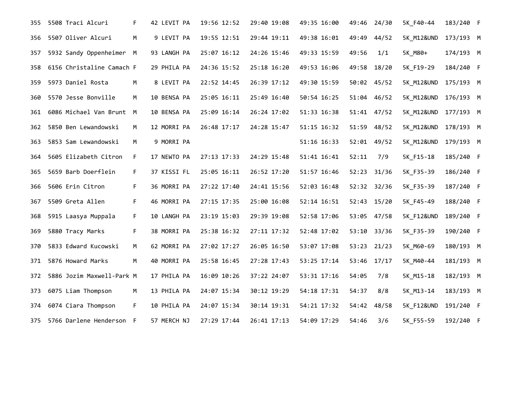| 355 | 5508 Traci Alcuri         | F. | 42 LEVIT PA | 19:56 12:52 | 29:40 19:08 | 49:35 16:00 | 49:46       | 24/30       | 5K_F40-44             | 183/240 F |  |
|-----|---------------------------|----|-------------|-------------|-------------|-------------|-------------|-------------|-----------------------|-----------|--|
| 356 | 5507 Oliver Alcuri        | M  | 9 LEVIT PA  | 19:55 12:51 | 29:44 19:11 | 49:38 16:01 | 49:49       | 44/52       | <b>5K M12&amp;UND</b> | 173/193 M |  |
| 357 | 5932 Sandy Oppenheimer M  |    | 93 LANGH PA | 25:07 16:12 | 24:26 15:46 | 49:33 15:59 | 49:56       | 1/1         | 5K M80+               | 174/193 M |  |
| 358 | 6156 Christaline Camach F |    | 29 PHILA PA | 24:36 15:52 | 25:18 16:20 | 49:53 16:06 | 49:58       | 18/20       | 5K F19-29             | 184/240 F |  |
| 359 | 5973 Daniel Rosta         | M  | 8 LEVIT PA  | 22:52 14:45 | 26:39 17:12 | 49:30 15:59 | 50:02 45/52 |             | 5K M12&UND 175/193 M  |           |  |
| 360 | 5570 Jesse Bonville       | M  | 10 BENSA PA | 25:05 16:11 | 25:49 16:40 | 50:54 16:25 |             | 51:04 46/52 | 5K M12&UND 176/193 M  |           |  |
| 361 | 6086 Michael Van Brunt M  |    | 10 BENSA PA | 25:09 16:14 | 26:24 17:02 | 51:33 16:38 | 51:41 47/52 |             | 5K M12&UND 177/193 M  |           |  |
| 362 | 5850 Ben Lewandowski      | M  | 12 MORRI PA | 26:48 17:17 | 24:28 15:47 | 51:15 16:32 | 51:59       | 48/52       | 5K_M12&UND 178/193 M  |           |  |
| 363 | 5853 Sam Lewandowski      | M  | 9 MORRI PA  |             |             | 51:16 16:33 |             | 52:01 49/52 | 5K_M12&UND            | 179/193 M |  |
| 364 | 5605 Elizabeth Citron     | F. | 17 NEWTO PA | 27:13 17:33 | 24:29 15:48 | 51:41 16:41 | 52:11       | 7/9         | 5K F15-18             | 185/240 F |  |
| 365 | 5659 Barb Doerflein       | F. | 37 KISSI FL | 25:05 16:11 | 26:52 17:20 | 51:57 16:46 | 52:23 31/36 |             | 5K F35-39             | 186/240 F |  |
| 366 | 5606 Erin Citron          | F. | 36 MORRI PA | 27:22 17:40 | 24:41 15:56 | 52:03 16:48 | 52:32 32/36 |             | 5K F35-39             | 187/240 F |  |
| 367 | 5509 Greta Allen          | F. | 46 MORRI PA | 27:15 17:35 | 25:00 16:08 | 52:14 16:51 | 52:43 15/20 |             | 5K F45-49             | 188/240 F |  |
| 368 | 5915 Laasya Muppala       | F. | 10 LANGH PA | 23:19 15:03 | 29:39 19:08 | 52:58 17:06 | 53:05       | 47/58       | <b>5K F12&amp;UND</b> | 189/240 F |  |
| 369 | 5880 Tracy Marks          | F. | 38 MORRI PA | 25:38 16:32 | 27:11 17:32 | 52:48 17:02 | 53:10       | 33/36       | 5K F35-39             | 190/240 F |  |
| 370 | 5833 Edward Kucowski      | M  | 62 MORRI PA | 27:02 17:27 | 26:05 16:50 | 53:07 17:08 | 53:23 21/23 |             | 5K M60-69             | 180/193 M |  |
| 371 | 5876 Howard Marks         | M  | 40 MORRI PA | 25:58 16:45 | 27:28 17:43 | 53:25 17:14 | 53:46 17/17 |             | 5K M40-44             | 181/193 M |  |
| 372 | 5886 Jozim Maxwell-Park M |    | 17 PHILA PA | 16:09 10:26 | 37:22 24:07 | 53:31 17:16 | 54:05       | 7/8         | 5K M15-18             | 182/193 M |  |
| 373 | 6075 Liam Thompson        | M  | 13 PHILA PA | 24:07 15:34 | 30:12 19:29 | 54:18 17:31 | 54:37       | 8/8         | 5K M13-14             | 183/193 M |  |
| 374 | 6074 Ciara Thompson       | F. | 10 PHILA PA | 24:07 15:34 | 30:14 19:31 | 54:21 17:32 | 54:42       | 48/58       | 5K F12&UND            | 191/240 F |  |
| 375 | 5766 Darlene Henderson F  |    | 57 MERCH NJ | 27:29 17:44 | 26:41 17:13 | 54:09 17:29 | 54:46       | 3/6         | 5K F55-59             | 192/240 F |  |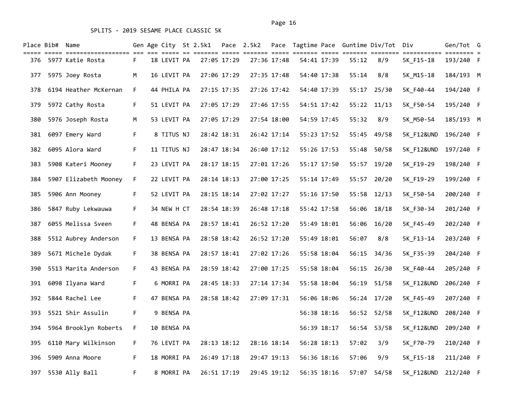|     | Place Bib#  Name |                                                             |    |             | Gen Age City St 2.5k1 Pace 2.5k2 |             |             |             |       | Pace Tagtime Pace Guntime Div/Tot Div |                       | Gen/Tot G |      |
|-----|------------------|-------------------------------------------------------------|----|-------------|----------------------------------|-------------|-------------|-------------|-------|---------------------------------------|-----------------------|-----------|------|
| 376 |                  | ===== ===== =================== === ===<br>5977 Katie Rosta | F. | 18 LEVIT PA |                                  | 27:05 17:29 | 27:36 17:48 | 54:41 17:39 | 55:12 | 8/9                                   | 5K_F15-18             | 193/240 F | == = |
| 377 |                  | 5975 Joey Rosta                                             | м  | 16 LEVIT PA |                                  | 27:06 17:29 | 27:35 17:48 | 54:40 17:38 | 55:14 | 8/8                                   | 5K M15-18             | 184/193 M |      |
| 378 |                  | 6194 Heather McKernan                                       | F. | 44 PHILA PA |                                  | 27:15 17:35 | 27:26 17:42 | 54:40 17:39 | 55:17 | 25/30                                 | 5K F40-44             | 194/240 F |      |
| 379 |                  | 5972 Cathy Rosta                                            | F. | 51 LEVIT PA |                                  | 27:05 17:29 | 27:46 17:55 | 54:51 17:42 | 55:22 | 11/13                                 | 5K_F50-54             | 195/240 F |      |
| 380 |                  | 5976 Joseph Rosta                                           | м  | 53 LEVIT PA |                                  | 27:05 17:29 | 27:54 18:00 | 54:59 17:45 | 55:32 | 8/9                                   | 5K_M50-54             | 185/193 M |      |
| 381 |                  | 6097 Emery Ward                                             | F. | 8 TITUS NJ  |                                  | 28:42 18:31 | 26:42 17:14 | 55:23 17:52 | 55:45 | 49/58                                 | 5K_F12&UND            | 196/240 F |      |
| 382 |                  | 6095 Alora Ward                                             | F. | 11 TITUS NJ |                                  | 28:47 18:34 | 26:40 17:12 | 55:26 17:53 | 55:48 | 50/58                                 | <b>5K F12&amp;UND</b> | 197/240 F |      |
| 383 |                  | 5908 Kateri Mooney                                          | F. | 23 LEVIT PA |                                  | 28:17 18:15 | 27:01 17:26 | 55:17 17:50 |       | 55:57 19/20                           | 5K F19-29             | 198/240 F |      |
| 384 |                  | 5907 Elizabeth Mooney                                       | F. | 22 LEVIT PA |                                  | 28:14 18:13 | 27:00 17:25 | 55:14 17:49 | 55:57 | 20/20                                 | 5K_F19-29             | 199/240 F |      |
| 385 |                  | 5906 Ann Mooney                                             | F. | 52 LEVIT PA |                                  | 28:15 18:14 | 27:02 17:27 | 55:16 17:50 | 55:58 | 12/13                                 | 5K_F50-54             | 200/240 F |      |
| 386 |                  | 5847 Ruby Lekwauwa                                          | F. | 34 NEW H CT |                                  | 28:54 18:39 | 26:48 17:18 | 55:42 17:58 |       | 56:06 18/18                           | 5K_F30-34             | 201/240 F |      |
| 387 |                  | 6055 Melissa Sveen                                          | F. | 48 BENSA PA |                                  | 28:57 18:41 | 26:52 17:20 | 55:49 18:01 | 56:06 | 16/20                                 | 5K_F45-49             | 202/240 F |      |
| 388 |                  | 5512 Aubrey Anderson                                        | F. | 13 BENSA PA |                                  | 28:58 18:42 | 26:52 17:20 | 55:49 18:01 | 56:07 | 8/8                                   | 5K F13-14             | 203/240 F |      |
| 389 |                  | 5671 Michele Dydak                                          | F. | 38 BENSA PA |                                  | 28:57 18:41 | 27:02 17:26 | 55:58 18:04 |       | 56:15 34/36                           | 5K_F35-39             | 204/240 F |      |
| 390 |                  | 5513 Marita Anderson                                        | F. | 43 BENSA PA |                                  | 28:59 18:42 | 27:00 17:25 | 55:58 18:04 | 56:15 | 26/30                                 | 5K F40-44             | 205/240 F |      |
| 391 |                  | 6098 Ilyana Ward                                            | F. | 6 MORRI PA  |                                  | 28:45 18:33 | 27:14 17:34 | 55:58 18:04 | 56:19 | 51/58                                 | 5K_F12&UND            | 206/240 F |      |
| 392 |                  | 5844 Rachel Lee                                             | F. | 47 BENSA PA |                                  | 28:58 18:42 | 27:09 17:31 | 56:06 18:06 |       | 56:24 17/20                           | 5K_F45-49             | 207/240 F |      |
| 393 |                  | 5521 Shir Assulin                                           | F. | 9 BENSA PA  |                                  |             |             | 56:38 18:16 | 56:52 | 52/58                                 | 5K_F12&UND            | 208/240 F |      |
| 394 |                  | 5964 Brooklyn Roberts                                       | F. | 10 BENSA PA |                                  |             |             | 56:39 18:17 | 56:54 | 53/58                                 | <b>5K F12&amp;UND</b> | 209/240 F |      |
| 395 |                  | 6110 Mary Wilkinson                                         | F. | 76 LEVIT PA |                                  | 28:13 18:12 | 28:16 18:14 | 56:28 18:13 | 57:02 | 3/9                                   | 5K_F70-79             | 210/240 F |      |
| 396 |                  | 5909 Anna Moore                                             | F. | 18 MORRI PA |                                  | 26:49 17:18 | 29:47 19:13 | 56:36 18:16 | 57:06 | 9/9                                   | 5K_F15-18             | 211/240 F |      |
| 397 |                  | 5530 Ally Ball                                              | F. | 8 MORRI PA  |                                  | 26:51 17:19 | 29:45 19:12 | 56:35 18:16 | 57:07 | 54/58                                 | 5K F12&UND 212/240 F  |           |      |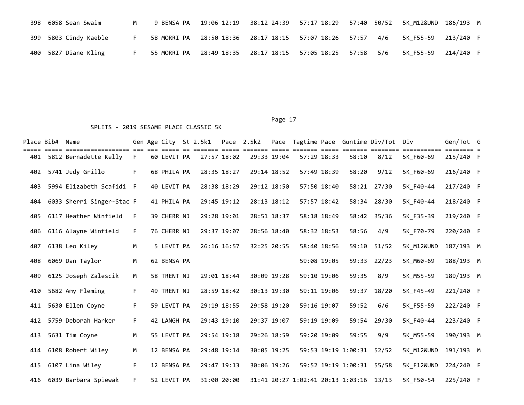|  | 398 6058 Sean Swaim   | M and the set of the set of the set of the set of the set of the set of the set of the set of the set of the set of the set of the set of the set of the set of the set of the set of the set of the set of the set of the set |  | 9 BENSA PA  19:06 12:19  38:12 24:39  57:17 18:29  57:40  50/52  5K M12&UND 186/193  M |  |  |  |
|--|-----------------------|--------------------------------------------------------------------------------------------------------------------------------------------------------------------------------------------------------------------------------|--|----------------------------------------------------------------------------------------|--|--|--|
|  | 399 5803 Cindy Kaeble |                                                                                                                                                                                                                                |  |                                                                                        |  |  |  |
|  | 400 5827 Diane Kling  |                                                                                                                                                                                                                                |  | 55 MORRI PA 28:49 18:35 28:17 18:15 57:05 18:25 57:58 5/6 5K F55-59 214/240 F          |  |  |  |

|     | Place Bib# Name |                                             |    |             | Gen Age City St 2.5k1 |             | Pace 2.5k2 |             |                                         | <b>EEEEE</b> |                           | Pace Tagtime Pace Guntime Div/Tot Div | ===========           | Gen/Tot G |  |
|-----|-----------------|---------------------------------------------|----|-------------|-----------------------|-------------|------------|-------------|-----------------------------------------|--------------|---------------------------|---------------------------------------|-----------------------|-----------|--|
| 401 |                 | ==================<br>5812 Bernadette Kelly | F. | 60 LEVIT PA |                       | 27:57 18:02 |            | 29:33 19:04 |                                         | 57:29 18:33  | 58:10                     | 8/12                                  | 5K F60-69             | 215/240 F |  |
| 402 |                 | 5741 Judy Grillo                            | F. | 68 PHILA PA |                       | 28:35 18:27 |            | 29:14 18:52 |                                         | 57:49 18:39  | 58:20                     | 9/12                                  | 5K F60-69             | 216/240 F |  |
| 403 |                 | 5994 Elizabeth Scafidi F                    |    | 40 LEVIT PA |                       | 28:38 18:29 |            | 29:12 18:50 |                                         | 57:50 18:40  |                           | 58:21 27/30                           | 5K F40-44             | 217/240 F |  |
| 404 |                 | 6033 Sherri Singer-Stac F                   |    | 41 PHILA PA |                       | 29:45 19:12 |            | 28:13 18:12 |                                         | 57:57 18:42  |                           | 58:34 28/30                           | 5K F40-44             | 218/240 F |  |
| 405 |                 | 6117 Heather Winfield                       | F. | 39 CHERR NJ |                       | 29:28 19:01 |            | 28:51 18:37 |                                         | 58:18 18:49  |                           | 58:42 35/36                           | 5K F35-39             | 219/240 F |  |
| 406 |                 | 6116 Alayne Winfield                        | F. | 76 CHERR NJ |                       | 29:37 19:07 |            | 28:56 18:40 |                                         | 58:32 18:53  | 58:56                     | 4/9                                   | 5K F70-79             | 220/240 F |  |
| 407 |                 | 6138 Leo Kiley                              | M  | 5 LEVIT PA  |                       | 26:16 16:57 |            | 32:25 20:55 |                                         | 58:40 18:56  | 59:10                     | 51/52                                 | <b>5K M12&amp;UND</b> | 187/193 M |  |
| 408 |                 | 6069 Dan Taylor                             | M  | 62 BENSA PA |                       |             |            |             |                                         | 59:08 19:05  |                           | 59:33 22/23                           | 5K M60-69             | 188/193 M |  |
| 409 |                 | 6125 Joseph Zalescik                        | M  | 58 TRENT NJ |                       | 29:01 18:44 |            | 30:09 19:28 |                                         | 59:10 19:06  | 59:35                     | 8/9                                   | 5K M55-59             | 189/193 M |  |
| 410 |                 | 5682 Amy Fleming                            | F. | 49 TRENT NJ |                       | 28:59 18:42 |            | 30:13 19:30 |                                         | 59:11 19:06  | 59:37                     | 18/20                                 | 5K F45-49             | 221/240 F |  |
| 411 |                 | 5630 Ellen Coyne                            | F. | 59 LEVIT PA |                       | 29:19 18:55 |            | 29:58 19:20 |                                         | 59:16 19:07  | 59:52                     | 6/6                                   | 5K F55-59             | 222/240 F |  |
| 412 |                 | 5759 Deborah Harker                         | F. | 42 LANGH PA |                       | 29:43 19:10 |            | 29:37 19:07 |                                         | 59:19 19:09  |                           | 59:54 29/30                           | 5K F40-44             | 223/240 F |  |
| 413 |                 | 5631 Tim Coyne                              | M  | 55 LEVIT PA |                       | 29:54 19:18 |            | 29:26 18:59 |                                         | 59:20 19:09  | 59:55                     | 9/9                                   | 5K M55-59             | 190/193 M |  |
| 414 |                 | 6108 Robert Wiley                           | M  | 12 BENSA PA |                       | 29:48 19:14 |            | 30:05 19:25 |                                         |              | 59:53 19:19 1:00:31       | 52/52                                 | 5K M12&UND            | 191/193 M |  |
| 415 |                 | 6107 Lina Wiley                             | F. | 12 BENSA PA |                       | 29:47 19:13 |            | 30:06 19:26 |                                         |              | 59:52 19:19 1:00:31 55/58 |                                       | 5K F12&UND            | 224/240 F |  |
|     |                 | 416 6039 Barbara Spiewak                    | F. | 52 LEVIT PA |                       | 31:00 20:00 |            |             | 31:41 20:27 1:02:41 20:13 1:03:16 13/13 |              |                           |                                       | 5K F50-54             | 225/240 F |  |